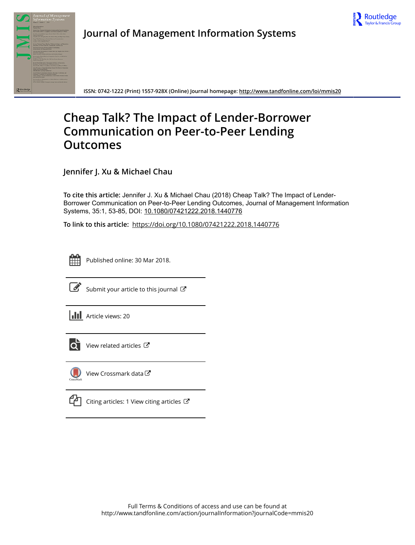

# R Routle

**Journal of Management Information Systems**

**ISSN: 0742-1222 (Print) 1557-928X (Online) Journal homepage: <http://www.tandfonline.com/loi/mmis20>**

# **Cheap Talk? The Impact of Lender-Borrower Communication on Peer-to-Peer Lending Outcomes**

**Jennifer J. Xu & Michael Chau**

**To cite this article:** Jennifer J. Xu & Michael Chau (2018) Cheap Talk? The Impact of Lender-Borrower Communication on Peer-to-Peer Lending Outcomes, Journal of Management Information Systems, 35:1, 53-85, DOI: [10.1080/07421222.2018.1440776](http://www.tandfonline.com/action/showCitFormats?doi=10.1080/07421222.2018.1440776)

**To link to this article:** <https://doi.org/10.1080/07421222.2018.1440776>



Published online: 30 Mar 2018.



 $\overrightarrow{S}$  [Submit your article to this journal](http://www.tandfonline.com/action/authorSubmission?journalCode=mmis20&show=instructions)  $\overrightarrow{S}$ 





 $\overline{\mathbf{C}}$  [View related articles](http://www.tandfonline.com/doi/mlt/10.1080/07421222.2018.1440776)  $\mathbf{C}$ 



[View Crossmark data](http://crossmark.crossref.org/dialog/?doi=10.1080/07421222.2018.1440776&domain=pdf&date_stamp=2018-03-30)<sup>C</sup>

 $\mathbb{C}$  [Citing articles: 1 View citing articles](http://www.tandfonline.com/doi/citedby/10.1080/07421222.2018.1440776#tabModule)  $\mathbb{C}$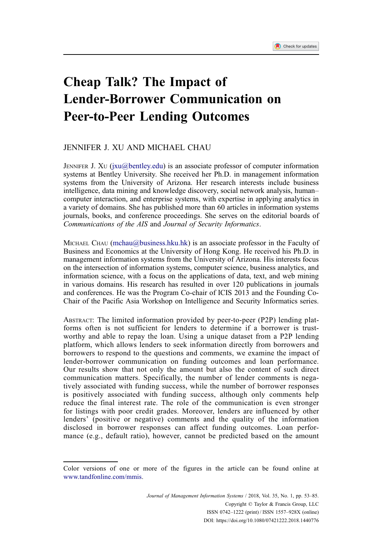# Cheap Talk? The Impact of Lender-Borrower Communication on Peer-to-Peer Lending Outcomes

# JENNIFER J. XU AND MICHAEL CHAU

JENNIFER J. XU ([jxu@bentley.edu](mailto:jxu@bentley.edu)) is an associate professor of computer information systems at Bentley University. She received her Ph.D. in management information systems from the University of Arizona. Her research interests include business intelligence, data mining and knowledge discovery, social network analysis, human– computer interaction, and enterprise systems, with expertise in applying analytics in a variety of domains. She has published more than 60 articles in information systems journals, books, and conference proceedings. She serves on the editorial boards of Communications of the AIS and Journal of Security Informatics.

MICHAEL CHAU ([mchau@business.hku.hk\)](mailto:mchau@business.hku.hk) is an associate professor in the Faculty of Business and Economics at the University of Hong Kong. He received his Ph.D. in management information systems from the University of Arizona. His interests focus on the intersection of information systems, computer science, business analytics, and information science, with a focus on the applications of data, text, and web mining in various domains. His research has resulted in over 120 publications in journals and conferences. He was the Program Co-chair of ICIS 2013 and the Founding Co-Chair of the Pacific Asia Workshop on Intelligence and Security Informatics series.

ABSTRACT: The limited information provided by peer-to-peer (P2P) lending platforms often is not sufficient for lenders to determine if a borrower is trustworthy and able to repay the loan. Using a unique dataset from a P2P lending platform, which allows lenders to seek information directly from borrowers and borrowers to respond to the questions and comments, we examine the impact of lender-borrower communication on funding outcomes and loan performance. Our results show that not only the amount but also the content of such direct communication matters. Specifically, the number of lender comments is negatively associated with funding success, while the number of borrower responses is positively associated with funding success, although only comments help reduce the final interest rate. The role of the communication is even stronger for listings with poor credit grades. Moreover, lenders are influenced by other lenders' (positive or negative) comments and the quality of the information disclosed in borrower responses can affect funding outcomes. Loan performance (e.g., default ratio), however, cannot be predicted based on the amount

Color versions of one or more of the figures in the article can be found online at [www.tandfonline.com/mmis.](http://www.tandfonline.com/mmis)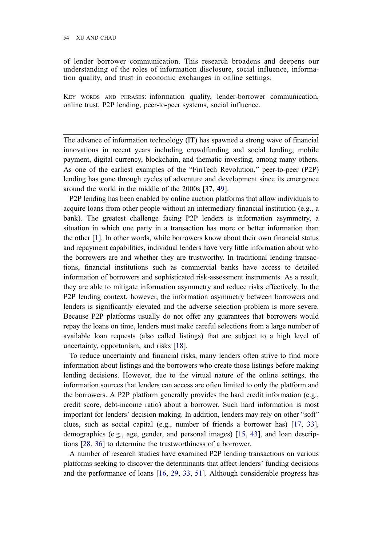<span id="page-2-0"></span>of lender borrower communication. This research broadens and deepens our understanding of the roles of information disclosure, social influence, information quality, and trust in economic exchanges in online settings.

KEY WORDS AND PHRASES: information quality, lender-borrower communication, online trust, P2P lending, peer-to-peer systems, social influence.

The advance of information technology (IT) has spawned a strong wave of financial innovations in recent years including crowdfunding and social lending, mobile payment, digital currency, blockchain, and thematic investing, among many others. As one of the earliest examples of the "FinTech Revolution," peer-to-peer (P2P) lending has gone through cycles of adventure and development since its emergence around the world in the middle of the 2000s [37, [49](#page-31-0)].

P2P lending has been enabled by online auction platforms that allow individuals to acquire loans from other people without an intermediary financial institution (e.g., a bank). The greatest challenge facing P2P lenders is information asymmetry, a situation in which one party in a transaction has more or better information than the other [[1](#page-29-0)]. In other words, while borrowers know about their own financial status and repayment capabilities, individual lenders have very little information about who the borrowers are and whether they are trustworthy. In traditional lending transactions, financial institutions such as commercial banks have access to detailed information of borrowers and sophisticated risk-assessment instruments. As a result, they are able to mitigate information asymmetry and reduce risks effectively. In the P2P lending context, however, the information asymmetry between borrowers and lenders is significantly elevated and the adverse selection problem is more severe. Because P2P platforms usually do not offer any guarantees that borrowers would repay the loans on time, lenders must make careful selections from a large number of available loan requests (also called listings) that are subject to a high level of uncertainty, opportunism, and risks [[18\]](#page-30-0).

To reduce uncertainty and financial risks, many lenders often strive to find more information about listings and the borrowers who create those listings before making lending decisions. However, due to the virtual nature of the online settings, the information sources that lenders can access are often limited to only the platform and the borrowers. A P2P platform generally provides the hard credit information (e.g., credit score, debt-income ratio) about a borrower. Such hard information is most important for lenders' decision making. In addition, lenders may rely on other "soft" clues, such as social capital (e.g., number of friends a borrower has) [\[17](#page-29-0), [33\]](#page-30-0), demographics (e.g., age, gender, and personal images) [[15,](#page-29-0) [43](#page-31-0)], and loan descriptions [\[28](#page-30-0), [36](#page-30-0)] to determine the trustworthiness of a borrower.

A number of research studies have examined P2P lending transactions on various platforms seeking to discover the determinants that affect lenders' funding decisions and the performance of loans [\[16](#page-29-0), [29](#page-30-0), [33](#page-30-0), [51](#page-31-0)]. Although considerable progress has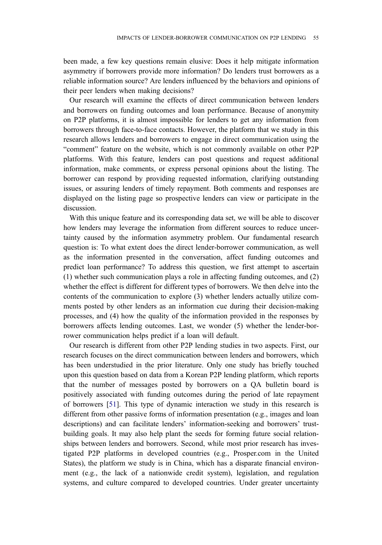been made, a few key questions remain elusive: Does it help mitigate information asymmetry if borrowers provide more information? Do lenders trust borrowers as a reliable information source? Are lenders influenced by the behaviors and opinions of their peer lenders when making decisions?

Our research will examine the effects of direct communication between lenders and borrowers on funding outcomes and loan performance. Because of anonymity on P2P platforms, it is almost impossible for lenders to get any information from borrowers through face-to-face contacts. However, the platform that we study in this research allows lenders and borrowers to engage in direct communication using the "comment" feature on the website, which is not commonly available on other P2P platforms. With this feature, lenders can post questions and request additional information, make comments, or express personal opinions about the listing. The borrower can respond by providing requested information, clarifying outstanding issues, or assuring lenders of timely repayment. Both comments and responses are displayed on the listing page so prospective lenders can view or participate in the discussion.

With this unique feature and its corresponding data set, we will be able to discover how lenders may leverage the information from different sources to reduce uncertainty caused by the information asymmetry problem. Our fundamental research question is: To what extent does the direct lender-borrower communication, as well as the information presented in the conversation, affect funding outcomes and predict loan performance? To address this question, we first attempt to ascertain (1) whether such communication plays a role in affecting funding outcomes, and (2) whether the effect is different for different types of borrowers. We then delve into the contents of the communication to explore (3) whether lenders actually utilize comments posted by other lenders as an information cue during their decision-making processes, and (4) how the quality of the information provided in the responses by borrowers affects lending outcomes. Last, we wonder (5) whether the lender-borrower communication helps predict if a loan will default.

Our research is different from other P2P lending studies in two aspects. First, our research focuses on the direct communication between lenders and borrowers, which has been understudied in the prior literature. Only one study has briefly touched upon this question based on data from a Korean P2P lending platform, which reports that the number of messages posted by borrowers on a QA bulletin board is positively associated with funding outcomes during the period of late repayment of borrowers [[51\]](#page-31-0). This type of dynamic interaction we study in this research is different from other passive forms of information presentation (e.g., images and loan descriptions) and can facilitate lenders' information-seeking and borrowers' trustbuilding goals. It may also help plant the seeds for forming future social relationships between lenders and borrowers. Second, while most prior research has investigated P2P platforms in developed countries (e.g., Prosper.com in the United States), the platform we study is in China, which has a disparate financial environment (e.g., the lack of a nationwide credit system), legislation, and regulation systems, and culture compared to developed countries. Under greater uncertainty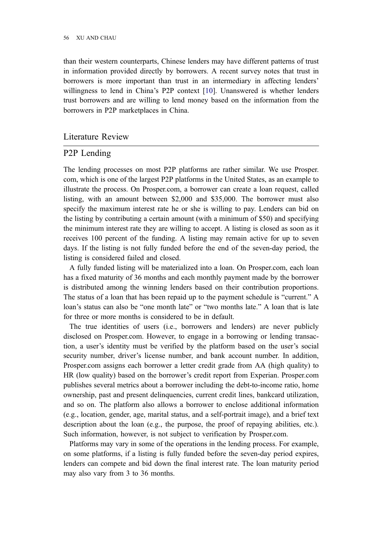<span id="page-4-0"></span>than their western counterparts, Chinese lenders may have different patterns of trust in information provided directly by borrowers. A recent survey notes that trust in borrowers is more important than trust in an intermediary in affecting lenders' willingness to lend in China's P2P context [[10\]](#page-29-0). Unanswered is whether lenders trust borrowers and are willing to lend money based on the information from the borrowers in P2P marketplaces in China.

### Literature Review

### P2P Lending

The lending processes on most P2P platforms are rather similar. We use Prosper. com, which is one of the largest P2P platforms in the United States, as an example to illustrate the process. On Prosper.com, a borrower can create a loan request, called listing, with an amount between \$2,000 and \$35,000. The borrower must also specify the maximum interest rate he or she is willing to pay. Lenders can bid on the listing by contributing a certain amount (with a minimum of \$50) and specifying the minimum interest rate they are willing to accept. A listing is closed as soon as it receives 100 percent of the funding. A listing may remain active for up to seven days. If the listing is not fully funded before the end of the seven-day period, the listing is considered failed and closed.

A fully funded listing will be materialized into a loan. On Prosper.com, each loan has a fixed maturity of 36 months and each monthly payment made by the borrower is distributed among the winning lenders based on their contribution proportions. The status of a loan that has been repaid up to the payment schedule is "current." A loan's status can also be "one month late" or "two months late." A loan that is late for three or more months is considered to be in default.

The true identities of users (i.e., borrowers and lenders) are never publicly disclosed on Prosper.com. However, to engage in a borrowing or lending transaction, a user's identity must be verified by the platform based on the user's social security number, driver's license number, and bank account number. In addition, Prosper.com assigns each borrower a letter credit grade from AA (high quality) to HR (low quality) based on the borrower's credit report from Experian. Prosper.com publishes several metrics about a borrower including the debt-to-income ratio, home ownership, past and present delinquencies, current credit lines, bankcard utilization, and so on. The platform also allows a borrower to enclose additional information (e.g., location, gender, age, marital status, and a self-portrait image), and a brief text description about the loan (e.g., the purpose, the proof of repaying abilities, etc.). Such information, however, is not subject to verification by Prosper.com.

Platforms may vary in some of the operations in the lending process. For example, on some platforms, if a listing is fully funded before the seven-day period expires, lenders can compete and bid down the final interest rate. The loan maturity period may also vary from 3 to 36 months.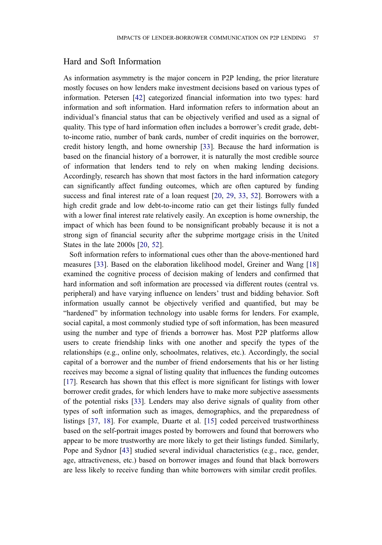### <span id="page-5-0"></span>Hard and Soft Information

As information asymmetry is the major concern in P2P lending, the prior literature mostly focuses on how lenders make investment decisions based on various types of information. Petersen [\[42](#page-31-0)] categorized financial information into two types: hard information and soft information. Hard information refers to information about an individual's financial status that can be objectively verified and used as a signal of quality. This type of hard information often includes a borrower's credit grade, debtto-income ratio, number of bank cards, number of credit inquiries on the borrower, credit history length, and home ownership [[33\]](#page-30-0). Because the hard information is based on the financial history of a borrower, it is naturally the most credible source of information that lenders tend to rely on when making lending decisions. Accordingly, research has shown that most factors in the hard information category can significantly affect funding outcomes, which are often captured by funding success and final interest rate of a loan request [[20,](#page-30-0) [29,](#page-30-0) [33,](#page-30-0) [52\]](#page-31-0). Borrowers with a high credit grade and low debt-to-income ratio can get their listings fully funded with a lower final interest rate relatively easily. An exception is home ownership, the impact of which has been found to be nonsignificant probably because it is not a strong sign of financial security after the subprime mortgage crisis in the United States in the late 2000s [[20,](#page-30-0) [52](#page-31-0)].

Soft information refers to informational cues other than the above-mentioned hard measures [\[33](#page-30-0)]. Based on the elaboration likelihood model, Greiner and Wang [\[18](#page-30-0)] examined the cognitive process of decision making of lenders and confirmed that hard information and soft information are processed via different routes (central vs. peripheral) and have varying influence on lenders' trust and bidding behavior. Soft information usually cannot be objectively verified and quantified, but may be "hardened" by information technology into usable forms for lenders. For example, social capital, a most commonly studied type of soft information, has been measured using the number and type of friends a borrower has. Most P2P platforms allow users to create friendship links with one another and specify the types of the relationships (e.g., online only, schoolmates, relatives, etc.). Accordingly, the social capital of a borrower and the number of friend endorsements that his or her listing receives may become a signal of listing quality that influences the funding outcomes [[17\]](#page-29-0). Research has shown that this effect is more significant for listings with lower borrower credit grades, for which lenders have to make more subjective assessments of the potential risks [[33\]](#page-30-0). Lenders may also derive signals of quality from other types of soft information such as images, demographics, and the preparedness of listings [[37](#page-30-0), [18](#page-30-0)]. For example, Duarte et al. [[15\]](#page-29-0) coded perceived trustworthiness based on the self-portrait images posted by borrowers and found that borrowers who appear to be more trustworthy are more likely to get their listings funded. Similarly, Pope and Sydnor [[43\]](#page-31-0) studied several individual characteristics (e.g., race, gender, age, attractiveness, etc.) based on borrower images and found that black borrowers are less likely to receive funding than white borrowers with similar credit profiles.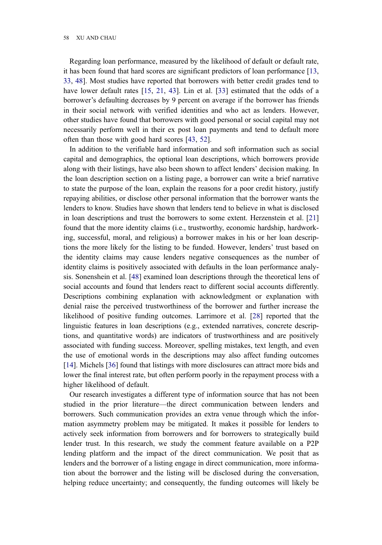<span id="page-6-0"></span>Regarding loan performance, measured by the likelihood of default or default rate, it has been found that hard scores are significant predictors of loan performance [\[13](#page-29-0), [33,](#page-30-0) [48](#page-31-0)]. Most studies have reported that borrowers with better credit grades tend to have lower default rates [[15,](#page-29-0) [21](#page-30-0), [43\]](#page-31-0). Lin et al. [[33\]](#page-30-0) estimated that the odds of a borrower's defaulting decreases by 9 percent on average if the borrower has friends in their social network with verified identities and who act as lenders. However, other studies have found that borrowers with good personal or social capital may not necessarily perform well in their ex post loan payments and tend to default more often than those with good hard scores [[43,](#page-31-0) [52\]](#page-31-0).

In addition to the verifiable hard information and soft information such as social capital and demographics, the optional loan descriptions, which borrowers provide along with their listings, have also been shown to affect lenders' decision making. In the loan description section on a listing page, a borrower can write a brief narrative to state the purpose of the loan, explain the reasons for a poor credit history, justify repaying abilities, or disclose other personal information that the borrower wants the lenders to know. Studies have shown that lenders tend to believe in what is disclosed in loan descriptions and trust the borrowers to some extent. Herzenstein et al. [\[21](#page-30-0)] found that the more identity claims (i.e., trustworthy, economic hardship, hardworking, successful, moral, and religious) a borrower makes in his or her loan descriptions the more likely for the listing to be funded. However, lenders' trust based on the identity claims may cause lenders negative consequences as the number of identity claims is positively associated with defaults in the loan performance analysis. Sonenshein et al. [\[48](#page-31-0)] examined loan descriptions through the theoretical lens of social accounts and found that lenders react to different social accounts differently. Descriptions combining explanation with acknowledgment or explanation with denial raise the perceived trustworthiness of the borrower and further increase the likelihood of positive funding outcomes. Larrimore et al. [\[28](#page-30-0)] reported that the linguistic features in loan descriptions (e.g., extended narratives, concrete descriptions, and quantitative words) are indicators of trustworthiness and are positively associated with funding success. Moreover, spelling mistakes, text length, and even the use of emotional words in the descriptions may also affect funding outcomes [[14\]](#page-29-0). Michels [[36\]](#page-30-0) found that listings with more disclosures can attract more bids and lower the final interest rate, but often perform poorly in the repayment process with a higher likelihood of default.

Our research investigates a different type of information source that has not been studied in the prior literature—the direct communication between lenders and borrowers. Such communication provides an extra venue through which the information asymmetry problem may be mitigated. It makes it possible for lenders to actively seek information from borrowers and for borrowers to strategically build lender trust. In this research, we study the comment feature available on a P2P lending platform and the impact of the direct communication. We posit that as lenders and the borrower of a listing engage in direct communication, more information about the borrower and the listing will be disclosed during the conversation, helping reduce uncertainty; and consequently, the funding outcomes will likely be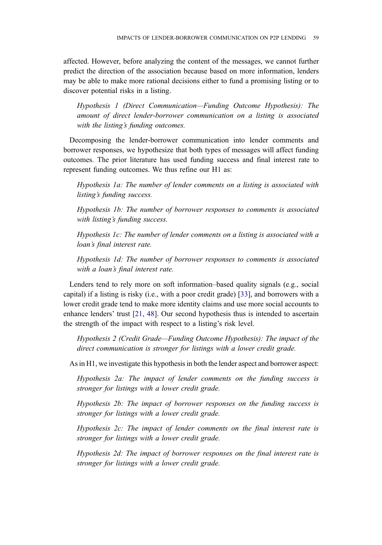affected. However, before analyzing the content of the messages, we cannot further predict the direction of the association because based on more information, lenders may be able to make more rational decisions either to fund a promising listing or to discover potential risks in a listing.

Hypothesis 1 (Direct Communication—Funding Outcome Hypothesis): The amount of direct lender-borrower communication on a listing is associated with the listing's funding outcomes.

Decomposing the lender-borrower communication into lender comments and borrower responses, we hypothesize that both types of messages will affect funding outcomes. The prior literature has used funding success and final interest rate to represent funding outcomes. We thus refine our H1 as:

Hypothesis 1a: The number of lender comments on a listing is associated with listing's funding success.

Hypothesis 1b: The number of borrower responses to comments is associated with listing's funding success.

Hypothesis 1c: The number of lender comments on a listing is associated with a loan's final interest rate.

Hypothesis 1d: The number of borrower responses to comments is associated with a loan's final interest rate.

Lenders tend to rely more on soft information–based quality signals (e.g., social capital) if a listing is risky (i.e., with a poor credit grade) [\[33](#page-30-0)], and borrowers with a lower credit grade tend to make more identity claims and use more social accounts to enhance lenders' trust [\[21](#page-30-0), [48\]](#page-31-0). Our second hypothesis thus is intended to ascertain the strength of the impact with respect to a listing's risk level.

Hypothesis 2 (Credit Grade—Funding Outcome Hypothesis): The impact of the direct communication is stronger for listings with a lower credit grade.

As in H1, we investigate this hypothesis in both the lender aspect and borrower aspect:

Hypothesis 2a: The impact of lender comments on the funding success is stronger for listings with a lower credit grade.

Hypothesis 2b: The impact of borrower responses on the funding success is stronger for listings with a lower credit grade.

Hypothesis 2c: The impact of lender comments on the final interest rate is stronger for listings with a lower credit grade.

Hypothesis 2d: The impact of borrower responses on the final interest rate is stronger for listings with a lower credit grade.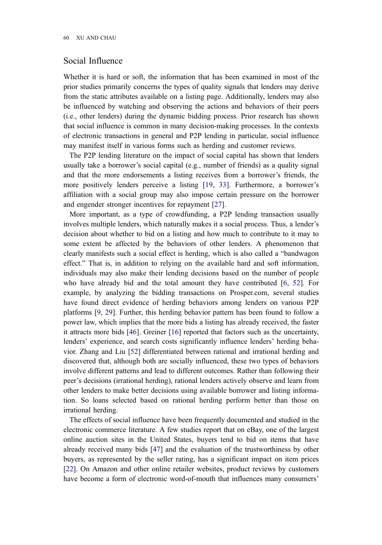### <span id="page-8-0"></span>Social Influence

Whether it is hard or soft, the information that has been examined in most of the prior studies primarily concerns the types of quality signals that lenders may derive from the static attributes available on a listing page. Additionally, lenders may also be influenced by watching and observing the actions and behaviors of their peers (i.e., other lenders) during the dynamic bidding process. Prior research has shown that social influence is common in many decision-making processes. In the contexts of electronic transactions in general and P2P lending in particular, social influence may manifest itself in various forms such as herding and customer reviews.

The P2P lending literature on the impact of social capital has shown that lenders usually take a borrower's social capital (e.g., number of friends) as a quality signal and that the more endorsements a listing receives from a borrower's friends, the more positively lenders perceive a listing [[19,](#page-30-0) [33\]](#page-30-0). Furthermore, a borrower's affiliation with a social group may also impose certain pressure on the borrower and engender stronger incentives for repayment [[27\]](#page-30-0).

More important, as a type of crowdfunding, a P2P lending transaction usually involves multiple lenders, which naturally makes it a social process. Thus, a lender's decision about whether to bid on a listing and how much to contribute to it may to some extent be affected by the behaviors of other lenders. A phenomenon that clearly manifests such a social effect is herding, which is also called a "bandwagon effect." That is, in addition to relying on the available hard and soft information, individuals may also make their lending decisions based on the number of people who have already bid and the total amount they have contributed [[6,](#page-29-0) [52](#page-31-0)]. For example, by analyzing the bidding transactions on Prosper.com, several studies have found direct evidence of herding behaviors among lenders on various P2P platforms [[9,](#page-29-0) [29\]](#page-30-0). Further, this herding behavior pattern has been found to follow a power law, which implies that the more bids a listing has already received, the faster it attracts more bids [\[46](#page-31-0)]. Greiner [[16\]](#page-29-0) reported that factors such as the uncertainty, lenders' experience, and search costs significantly influence lenders' herding behavior. Zhang and Liu [\[52](#page-31-0)] differentiated between rational and irrational herding and discovered that, although both are socially influenced, these two types of behaviors involve different patterns and lead to different outcomes. Rather than following their peer's decisions (irrational herding), rational lenders actively observe and learn from other lenders to make better decisions using available borrower and listing information. So loans selected based on rational herding perform better than those on irrational herding.

The effects of social influence have been frequently documented and studied in the electronic commerce literature. A few studies report that on eBay, one of the largest online auction sites in the United States, buyers tend to bid on items that have already received many bids [[47\]](#page-31-0) and the evaluation of the trustworthiness by other buyers, as represented by the seller rating, has a significant impact on item prices [[22\]](#page-30-0). On Amazon and other online retailer websites, product reviews by customers have become a form of electronic word-of-mouth that influences many consumers'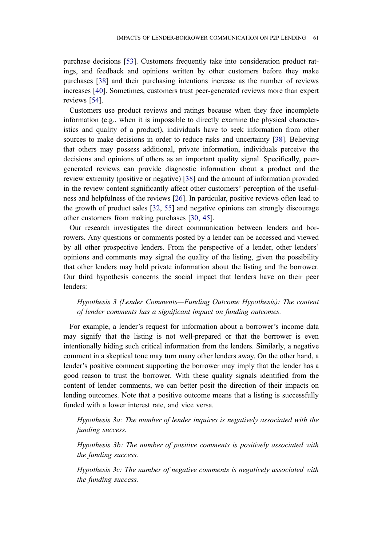<span id="page-9-0"></span>purchase decisions [[53](#page-31-0)]. Customers frequently take into consideration product ratings, and feedback and opinions written by other customers before they make purchases [[38\]](#page-30-0) and their purchasing intentions increase as the number of reviews increases [[40\]](#page-31-0). Sometimes, customers trust peer-generated reviews more than expert reviews [[54\]](#page-31-0).

Customers use product reviews and ratings because when they face incomplete information (e.g., when it is impossible to directly examine the physical characteristics and quality of a product), individuals have to seek information from other sources to make decisions in order to reduce risks and uncertainty [[38\]](#page-30-0). Believing that others may possess additional, private information, individuals perceive the decisions and opinions of others as an important quality signal. Specifically, peergenerated reviews can provide diagnostic information about a product and the review extremity (positive or negative) [[38\]](#page-30-0) and the amount of information provided in the review content significantly affect other customers' perception of the usefulness and helpfulness of the reviews [\[26](#page-30-0)]. In particular, positive reviews often lead to the growth of product sales [\[32](#page-30-0), [55\]](#page-31-0) and negative opinions can strongly discourage other customers from making purchases [\[30,](#page-30-0) [45](#page-31-0)].

Our research investigates the direct communication between lenders and borrowers. Any questions or comments posted by a lender can be accessed and viewed by all other prospective lenders. From the perspective of a lender, other lenders' opinions and comments may signal the quality of the listing, given the possibility that other lenders may hold private information about the listing and the borrower. Our third hypothesis concerns the social impact that lenders have on their peer lenders:

Hypothesis 3 (Lender Comments—Funding Outcome Hypothesis): The content of lender comments has a significant impact on funding outcomes.

For example, a lender's request for information about a borrower's income data may signify that the listing is not well-prepared or that the borrower is even intentionally hiding such critical information from the lenders. Similarly, a negative comment in a skeptical tone may turn many other lenders away. On the other hand, a lender's positive comment supporting the borrower may imply that the lender has a good reason to trust the borrower. With these quality signals identified from the content of lender comments, we can better posit the direction of their impacts on lending outcomes. Note that a positive outcome means that a listing is successfully funded with a lower interest rate, and vice versa.

Hypothesis 3a: The number of lender inquires is negatively associated with the funding success.

Hypothesis 3b: The number of positive comments is positively associated with the funding success.

Hypothesis 3c: The number of negative comments is negatively associated with the funding success.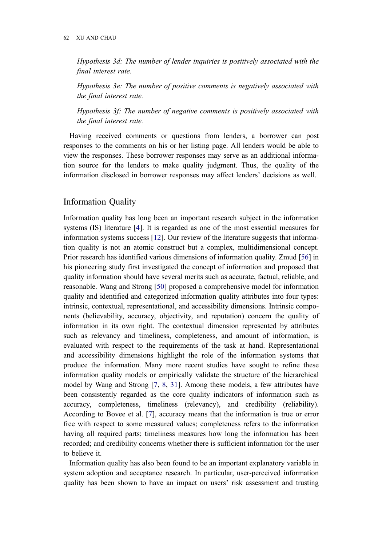<span id="page-10-0"></span>Hypothesis 3d: The number of lender inquiries is positively associated with the final interest rate.

Hypothesis 3e: The number of positive comments is negatively associated with the final interest rate.

Hypothesis 3f: The number of negative comments is positively associated with the final interest rate.

Having received comments or questions from lenders, a borrower can post responses to the comments on his or her listing page. All lenders would be able to view the responses. These borrower responses may serve as an additional information source for the lenders to make quality judgment. Thus, the quality of the information disclosed in borrower responses may affect lenders' decisions as well.

### Information Quality

Information quality has long been an important research subject in the information systems (IS) literature [\[4](#page-29-0)]. It is regarded as one of the most essential measures for information systems success [[12\]](#page-29-0). Our review of the literature suggests that information quality is not an atomic construct but a complex, multidimensional concept. Prior research has identified various dimensions of information quality. Zmud [\[56](#page-31-0)] in his pioneering study first investigated the concept of information and proposed that quality information should have several merits such as accurate, factual, reliable, and reasonable. Wang and Strong [[50\]](#page-31-0) proposed a comprehensive model for information quality and identified and categorized information quality attributes into four types: intrinsic, contextual, representational, and accessibility dimensions. Intrinsic components (believability, accuracy, objectivity, and reputation) concern the quality of information in its own right. The contextual dimension represented by attributes such as relevancy and timeliness, completeness, and amount of information, is evaluated with respect to the requirements of the task at hand. Representational and accessibility dimensions highlight the role of the information systems that produce the information. Many more recent studies have sought to refine these information quality models or empirically validate the structure of the hierarchical model by Wang and Strong [[7,](#page-29-0) [8,](#page-29-0) [31\]](#page-30-0). Among these models, a few attributes have been consistently regarded as the core quality indicators of information such as accuracy, completeness, timeliness (relevancy), and credibility (reliability). According to Bovee et al. [[7\]](#page-29-0), accuracy means that the information is true or error free with respect to some measured values; completeness refers to the information having all required parts; timeliness measures how long the information has been recorded; and credibility concerns whether there is sufficient information for the user to believe it.

Information quality has also been found to be an important explanatory variable in system adoption and acceptance research. In particular, user-perceived information quality has been shown to have an impact on users' risk assessment and trusting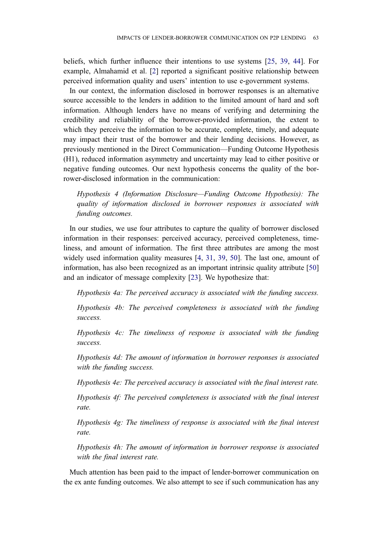<span id="page-11-0"></span>beliefs, which further influence their intentions to use systems [[25,](#page-30-0) [39,](#page-31-0) [44\]](#page-31-0). For example, Almahamid et al. [[2\]](#page-29-0) reported a significant positive relationship between perceived information quality and users' intention to use e-government systems.

In our context, the information disclosed in borrower responses is an alternative source accessible to the lenders in addition to the limited amount of hard and soft information. Although lenders have no means of verifying and determining the credibility and reliability of the borrower-provided information, the extent to which they perceive the information to be accurate, complete, timely, and adequate may impact their trust of the borrower and their lending decisions. However, as previously mentioned in the Direct Communication—Funding Outcome Hypothesis (H1), reduced information asymmetry and uncertainty may lead to either positive or negative funding outcomes. Our next hypothesis concerns the quality of the borrower-disclosed information in the communication:

Hypothesis 4 (Information Disclosure—Funding Outcome Hypothesis): The quality of information disclosed in borrower responses is associated with funding outcomes.

In our studies, we use four attributes to capture the quality of borrower disclosed information in their responses: perceived accuracy, perceived completeness, timeliness, and amount of information. The first three attributes are among the most widely used information quality measures [\[4](#page-29-0), [31](#page-30-0), [39](#page-31-0), [50](#page-31-0)]. The last one, amount of information, has also been recognized as an important intrinsic quality attribute [\[50](#page-31-0)] and an indicator of message complexity [[23\]](#page-30-0). We hypothesize that:

Hypothesis 4a: The perceived accuracy is associated with the funding success.

Hypothesis 4b: The perceived completeness is associated with the funding success.

Hypothesis 4c: The timeliness of response is associated with the funding success.

Hypothesis 4d: The amount of information in borrower responses is associated with the funding success.

Hypothesis 4e: The perceived accuracy is associated with the final interest rate.

Hypothesis 4f: The perceived completeness is associated with the final interest rate.

Hypothesis 4g: The timeliness of response is associated with the final interest rate.

Hypothesis 4h: The amount of information in borrower response is associated with the final interest rate.

Much attention has been paid to the impact of lender-borrower communication on the ex ante funding outcomes. We also attempt to see if such communication has any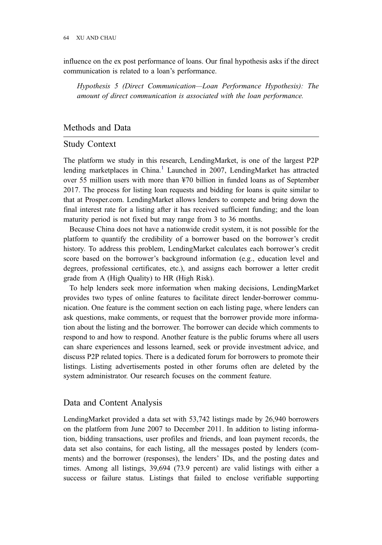influence on the ex post performance of loans. Our final hypothesis asks if the direct communication is related to a loan's performance.

Hypothesis 5 (Direct Communication—Loan Performance Hypothesis): The amount of direct communication is associated with the loan performance.

### Methods and Data

### Study Context

The platform we study in this research, LendingMarket, is one of the largest P2P lending marketplaces in China.<sup>[1](#page-29-0)</sup> Launched in 2007, LendingMarket has attracted over 55 million users with more than ¥70 billion in funded loans as of September 2017. The process for listing loan requests and bidding for loans is quite similar to that at Prosper.com. LendingMarket allows lenders to compete and bring down the final interest rate for a listing after it has received sufficient funding; and the loan maturity period is not fixed but may range from 3 to 36 months.

Because China does not have a nationwide credit system, it is not possible for the platform to quantify the credibility of a borrower based on the borrower's credit history. To address this problem, LendingMarket calculates each borrower's credit score based on the borrower's background information (e.g., education level and degrees, professional certificates, etc.), and assigns each borrower a letter credit grade from A (High Quality) to HR (High Risk).

To help lenders seek more information when making decisions, LendingMarket provides two types of online features to facilitate direct lender-borrower communication. One feature is the comment section on each listing page, where lenders can ask questions, make comments, or request that the borrower provide more information about the listing and the borrower. The borrower can decide which comments to respond to and how to respond. Another feature is the public forums where all users can share experiences and lessons learned, seek or provide investment advice, and discuss P2P related topics. There is a dedicated forum for borrowers to promote their listings. Listing advertisements posted in other forums often are deleted by the system administrator. Our research focuses on the comment feature.

### Data and Content Analysis

LendingMarket provided a data set with 53,742 listings made by 26,940 borrowers on the platform from June 2007 to December 2011. In addition to listing information, bidding transactions, user profiles and friends, and loan payment records, the data set also contains, for each listing, all the messages posted by lenders (comments) and the borrower (responses), the lenders' IDs, and the posting dates and times. Among all listings, 39,694 (73.9 percent) are valid listings with either a success or failure status. Listings that failed to enclose verifiable supporting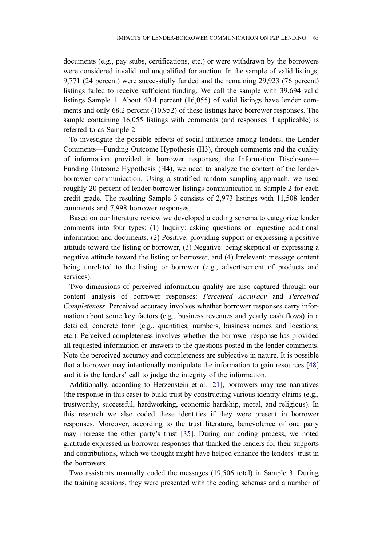<span id="page-13-0"></span>documents (e.g., pay stubs, certifications, etc.) or were withdrawn by the borrowers were considered invalid and unqualified for auction. In the sample of valid listings, 9,771 (24 percent) were successfully funded and the remaining 29,923 (76 percent) listings failed to receive sufficient funding. We call the sample with 39,694 valid listings Sample 1. About 40.4 percent (16,055) of valid listings have lender comments and only 68.2 percent (10,952) of these listings have borrower responses. The sample containing 16,055 listings with comments (and responses if applicable) is referred to as Sample 2.

To investigate the possible effects of social influence among lenders, the Lender Comments—Funding Outcome Hypothesis (H3), through comments and the quality of information provided in borrower responses, the Information Disclosure— Funding Outcome Hypothesis (H4), we need to analyze the content of the lenderborrower communication. Using a stratified random sampling approach, we used roughly 20 percent of lender-borrower listings communication in Sample 2 for each credit grade. The resulting Sample 3 consists of 2,973 listings with 11,508 lender comments and 7,998 borrower responses.

Based on our literature review we developed a coding schema to categorize lender comments into four types: (1) Inquiry: asking questions or requesting additional information and documents, (2) Positive: providing support or expressing a positive attitude toward the listing or borrower, (3) Negative: being skeptical or expressing a negative attitude toward the listing or borrower, and (4) Irrelevant: message content being unrelated to the listing or borrower (e.g., advertisement of products and services).

Two dimensions of perceived information quality are also captured through our content analysis of borrower responses: Perceived Accuracy and Perceived Completeness. Perceived accuracy involves whether borrower responses carry information about some key factors (e.g., business revenues and yearly cash flows) in a detailed, concrete form (e.g., quantities, numbers, business names and locations, etc.). Perceived completeness involves whether the borrower response has provided all requested information or answers to the questions posted in the lender comments. Note the perceived accuracy and completeness are subjective in nature. It is possible that a borrower may intentionally manipulate the information to gain resources [\[48](#page-31-0)] and it is the lenders' call to judge the integrity of the information.

Additionally, according to Herzenstein et al. [\[21](#page-30-0)], borrowers may use narratives (the response in this case) to build trust by constructing various identity claims (e.g., trustworthy, successful, hardworking, economic hardship, moral, and religious). In this research we also coded these identities if they were present in borrower responses. Moreover, according to the trust literature, benevolence of one party may increase the other party's trust [[35\]](#page-30-0). During our coding process, we noted gratitude expressed in borrower responses that thanked the lenders for their supports and contributions, which we thought might have helped enhance the lenders' trust in the borrowers.

Two assistants manually coded the messages (19,506 total) in Sample 3. During the training sessions, they were presented with the coding schemas and a number of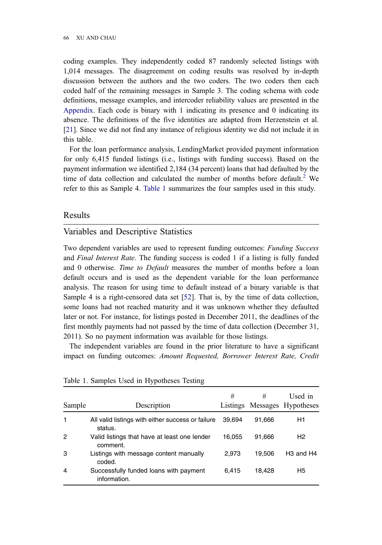coding examples. They independently coded 87 randomly selected listings with 1,014 messages. The disagreement on coding results was resolved by in-depth discussion between the authors and the two coders. The two coders then each coded half of the remaining messages in Sample 3. The coding schema with code definitions, message examples, and intercoder reliability values are presented in the Appendix. Each code is binary with 1 indicating its presence and 0 indicating its absence. The definitions of the five identities are adapted from Herzenstein et al. [[21\]](#page-30-0). Since we did not find any instance of religious identity we did not include it in this table.

For the loan performance analysis, LendingMarket provided payment information for only 6,415 funded listings (i.e., listings with funding success). Based on the payment information we identified 2,184 (34 percent) loans that had defaulted by the time of data collection and calculated the number of months before default.<sup>[2](#page-29-0)</sup> We refer to this as Sample 4. Table 1 summarizes the four samples used in this study.

### Results

### Variables and Descriptive Statistics

Two dependent variables are used to represent funding outcomes: Funding Success and Final Interest Rate. The funding success is coded 1 if a listing is fully funded and 0 otherwise. Time to Default measures the number of months before a loan default occurs and is used as the dependent variable for the loan performance analysis. The reason for using time to default instead of a binary variable is that Sample 4 is a right-censored data set [[52\]](#page-31-0). That is, by the time of data collection, some loans had not reached maturity and it was unknown whether they defaulted later or not. For instance, for listings posted in December 2011, the deadlines of the first monthly payments had not passed by the time of data collection (December 31, 2011). So no payment information was available for those listings.

The independent variables are found in the prior literature to have a significant impact on funding outcomes: Amount Requested, Borrower Interest Rate, Credit

| Sample | Description                                                  | #      | #      | Used in<br>Listings Messages Hypotheses |
|--------|--------------------------------------------------------------|--------|--------|-----------------------------------------|
| 1      | All valid listings with either success or failure<br>status. | 39.694 | 91.666 | H1                                      |
| 2      | Valid listings that have at least one lender<br>comment.     | 16.055 | 91,666 | H <sub>2</sub>                          |
| 3      | Listings with message content manually<br>coded.             | 2.973  | 19.506 | H <sub>3</sub> and H <sub>4</sub>       |
| 4      | Successfully funded loans with payment<br>information.       | 6.415  | 18.428 | H <sub>5</sub>                          |

Table 1. Samples Used in Hypotheses Testing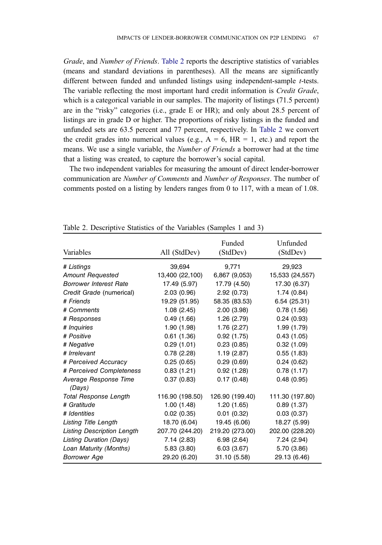<span id="page-15-0"></span>Grade, and Number of Friends. Table 2 reports the descriptive statistics of variables (means and standard deviations in parentheses). All the means are significantly different between funded and unfunded listings using independent-sample *t*-tests. The variable reflecting the most important hard credit information is Credit Grade, which is a categorical variable in our samples. The majority of listings (71.5 percent) are in the "risky" categories (i.e., grade E or HR); and only about 28.5 percent of listings are in grade D or higher. The proportions of risky listings in the funded and unfunded sets are 63.5 percent and 77 percent, respectively. In Table 2 we convert the credit grades into numerical values (e.g.,  $A = 6$ ,  $HR = 1$ , etc.) and report the means. We use a single variable, the Number of Friends a borrower had at the time that a listing was created, to capture the borrower's social capital.

The two independent variables for measuring the amount of direct lender-borrower communication are Number of Comments and Number of Responses. The number of comments posted on a listing by lenders ranges from 0 to 117, with a mean of 1.08.

| Variables                         | All (StdDev)    | Funded<br>(StdDev) | Unfunded<br>(StdDev) |
|-----------------------------------|-----------------|--------------------|----------------------|
| # Listings                        | 39,694          | 9,771              | 29,923               |
| <b>Amount Requested</b>           | 13,400 (22,100) | 6,867 (9,053)      | 15,533 (24,557)      |
| <b>Borrower Interest Rate</b>     | 17.49 (5.97)    | 17.79 (4.50)       | 17.30 (6.37)         |
| Credit Grade (numerical)          | 2.03(0.96)      | 2.92(0.73)         | 1.74(0.84)           |
| # Friends                         | 19.29 (51.95)   | 58.35 (83.53)      | 6.54(25.31)          |
| # Comments                        | 1.08(2.45)      | 2.00(3.98)         | 0.78(1.56)           |
| # Responses                       | 0.49(1.66)      | 1.26(2.79)         | 0.24(0.93)           |
| # Inquiries                       | 1.90 (1.98)     | 1.76 (2.27)        | 1.99 (1.79)          |
| # Positive                        | 0.61(1.36)      | 0.92(1.75)         | 0.43(1.05)           |
| # Negative                        | 0.29(1.01)      | 0.23(0.85)         | 0.32(1.09)           |
| # Irrelevant                      | 0.78(2.28)      | 1.19(2.87)         | 0.55(1.83)           |
| # Perceived Accuracy              | 0.25(0.65)      | 0.29(0.69)         | 0.24(0.62)           |
| # Perceived Completeness          | 0.83(1.21)      | 0.92(1.28)         | 0.78(1.17)           |
| Average Response Time<br>(Days)   | 0.37(0.83)      | 0.17(0.48)         | 0.48(0.95)           |
| <b>Total Response Length</b>      | 116.90 (198.50) | 126.90 (199.40)    | 111.30 (197.80)      |
| # Gratitude                       | 1.00(1.48)      | 1.20(1.65)         | 0.89(1.37)           |
| # Identities                      | 0.02(0.35)      | 0.01(0.32)         | 0.03(0.37)           |
| Listing Title Length              | 18.70 (6.04)    | 19.45 (6.06)       | 18.27 (5.99)         |
| <b>Listing Description Length</b> | 207.70 (244.20) | 219.20 (273.00)    | 202.00 (228.20)      |
| <b>Listing Duration (Days)</b>    | 7.14(2.83)      | 6.98(2.64)         | 7.24 (2.94)          |
| Loan Maturity (Months)            | 5.83 (3.80)     | 6.03(3.67)         | 5.70 (3.86)          |
| <b>Borrower Age</b>               | 29.20 (6.20)    | 31.10 (5.58)       | 29.13 (6.46)         |

Table 2. Descriptive Statistics of the Variables (Samples 1 and 3)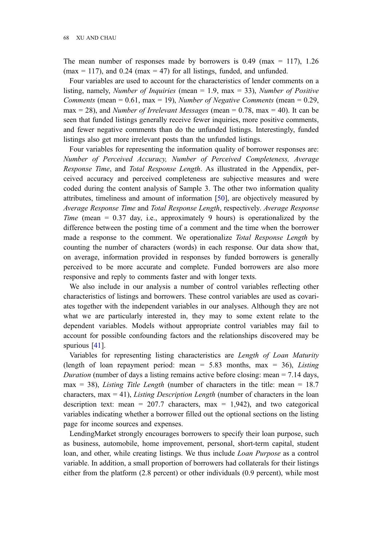<span id="page-16-0"></span>The mean number of responses made by borrowers is  $0.49$  (max = 117), 1.26 (max = 117), and 0.24 (max = 47) for all listings, funded, and unfunded.

Four variables are used to account for the characteristics of lender comments on a listing, namely, *Number of Inquiries* (mean  $= 1.9$ , max  $= 33$ ), *Number of Positive* Comments (mean =  $0.61$ , max = 19), Number of Negative Comments (mean =  $0.29$ , max = 28), and *Number of Irrelevant Messages* (mean =  $0.78$ , max = 40). It can be seen that funded listings generally receive fewer inquiries, more positive comments, and fewer negative comments than do the unfunded listings. Interestingly, funded listings also get more irrelevant posts than the unfunded listings.

Four variables for representing the information quality of borrower responses are: Number of Perceived Accuracy, Number of Perceived Completeness, Average Response Time, and Total Response Length. As illustrated in the Appendix, perceived accuracy and perceived completeness are subjective measures and were coded during the content analysis of Sample 3. The other two information quality attributes, timeliness and amount of information [[50\]](#page-31-0), are objectively measured by Average Response Time and Total Response Length, respectively. Average Response *Time* (mean =  $0.37$  day, i.e., approximately 9 hours) is operationalized by the difference between the posting time of a comment and the time when the borrower made a response to the comment. We operationalize Total Response Length by counting the number of characters (words) in each response. Our data show that, on average, information provided in responses by funded borrowers is generally perceived to be more accurate and complete. Funded borrowers are also more responsive and reply to comments faster and with longer texts.

We also include in our analysis a number of control variables reflecting other characteristics of listings and borrowers. These control variables are used as covariates together with the independent variables in our analyses. Although they are not what we are particularly interested in, they may to some extent relate to the dependent variables. Models without appropriate control variables may fail to account for possible confounding factors and the relationships discovered may be spurious [[41\]](#page-31-0).

Variables for representing listing characteristics are Length of Loan Maturity (length of loan repayment period: mean  $= 5.83$  months, max  $= 36$ ), *Listing Duration* (number of days a listing remains active before closing: mean  $= 7.14$  days, max = 38), *Listing Title Length* (number of characters in the title: mean = 18.7) characters, max  $=$  41), *Listing Description Length* (number of characters in the loan description text: mean =  $207.7$  characters, max = 1,942), and two categorical variables indicating whether a borrower filled out the optional sections on the listing page for income sources and expenses.

LendingMarket strongly encourages borrowers to specify their loan purpose, such as business, automobile, home improvement, personal, short-term capital, student loan, and other, while creating listings. We thus include Loan Purpose as a control variable. In addition, a small proportion of borrowers had collaterals for their listings either from the platform (2.8 percent) or other individuals (0.9 percent), while most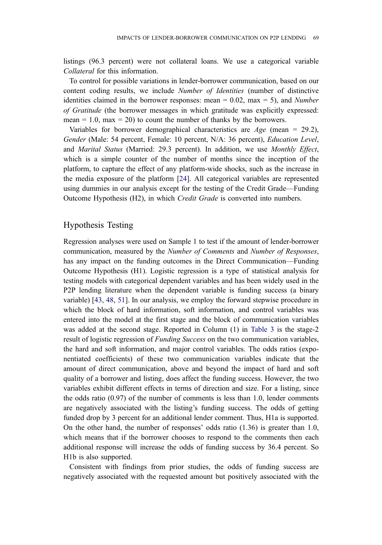<span id="page-17-0"></span>listings (96.3 percent) were not collateral loans. We use a categorical variable Collateral for this information.

To control for possible variations in lender-borrower communication, based on our content coding results, we include Number of Identities (number of distinctive identities claimed in the borrower responses: mean  $= 0.02$ , max  $= 5$ ), and *Number* of Gratitude (the borrower messages in which gratitude was explicitly expressed: mean  $= 1.0$ , max  $= 20$ ) to count the number of thanks by the borrowers.

Variables for borrower demographical characteristics are  $Age$  (mean = 29.2), Gender (Male: 54 percent, Female: 10 percent, N/A: 36 percent), Education Level, and Marital Status (Married: 29.3 percent). In addition, we use Monthly Effect, which is a simple counter of the number of months since the inception of the platform, to capture the effect of any platform-wide shocks, such as the increase in the media exposure of the platform [[24\]](#page-30-0). All categorical variables are represented using dummies in our analysis except for the testing of the Credit Grade—Funding Outcome Hypothesis (H2), in which Credit Grade is converted into numbers.

### Hypothesis Testing

Regression analyses were used on Sample 1 to test if the amount of lender-borrower communication, measured by the Number of Comments and Number of Responses, has any impact on the funding outcomes in the Direct Communication—Funding Outcome Hypothesis (H1). Logistic regression is a type of statistical analysis for testing models with categorical dependent variables and has been widely used in the P2P lending literature when the dependent variable is funding success (a binary variable) [[43,](#page-31-0) [48,](#page-31-0) [51](#page-31-0)]. In our analysis, we employ the forward stepwise procedure in which the block of hard information, soft information, and control variables was entered into the model at the first stage and the block of communication variables was added at the second stage. Reported in Column (1) in [Table 3](#page-18-0) is the stage-2 result of logistic regression of Funding Success on the two communication variables, the hard and soft information, and major control variables. The odds ratios (exponentiated coefficients) of these two communication variables indicate that the amount of direct communication, above and beyond the impact of hard and soft quality of a borrower and listing, does affect the funding success. However, the two variables exhibit different effects in terms of direction and size. For a listing, since the odds ratio (0.97) of the number of comments is less than 1.0, lender comments are negatively associated with the listing's funding success. The odds of getting funded drop by 3 percent for an additional lender comment. Thus, H1a is supported. On the other hand, the number of responses' odds ratio (1.36) is greater than 1.0, which means that if the borrower chooses to respond to the comments then each additional response will increase the odds of funding success by 36.4 percent. So H1b is also supported.

Consistent with findings from prior studies, the odds of funding success are negatively associated with the requested amount but positively associated with the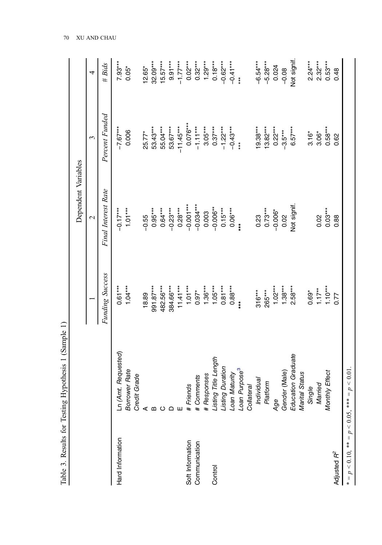| Final Interest Rate<br>$-0.001***$<br>$-0.034***$<br>Not signif<br>$-0.006**$<br>$1.01***$<br>$0.95***$<br>$0.64***$<br>$-0.23***$<br>$0.28***$<br>$0.73***$<br>$0.15***$<br>$-0.17***$<br>$0.06***$<br>$-0.006*$<br>0.003<br>$-0.55$<br>0.23<br>0.02<br>0.02<br>$\mathbf{\Omega}$<br>Funding Success<br>$1.04***$<br>$11.41***$<br>$1.01***$<br>$0.61***$<br>991.87***<br>482.56***<br>384.66***<br>$0.81***$<br>$0.88***$<br>$1.38***$<br>$2.58***$<br>$1.10***$<br>$1.36***$<br>$1.05***$<br>$1.02***$<br>$1.17**$<br>$0.97*$<br>265***<br>$316***$<br>$0.69*$<br>18.89<br>$***$<br>Ln (Amt. Requested)<br>Education Graduate<br>Listing Title Length<br>Listing Duration<br>Loan Purpose <sup>3</sup><br>Borrower Rate<br>Gender (Male)<br>Monthly Effect<br>Marital Status<br>Loan Maturity<br># Responses<br>Credit Grade<br># Comments<br>Individual<br>Platform<br>Married<br># Friends<br>Collateral<br>Single<br>Age<br>$\prec$<br>$OQ$ m<br>m<br>Hard Information<br>Soft Information<br>Communication<br>Control |  | Dependent Variables |                |             |
|------------------------------------------------------------------------------------------------------------------------------------------------------------------------------------------------------------------------------------------------------------------------------------------------------------------------------------------------------------------------------------------------------------------------------------------------------------------------------------------------------------------------------------------------------------------------------------------------------------------------------------------------------------------------------------------------------------------------------------------------------------------------------------------------------------------------------------------------------------------------------------------------------------------------------------------------------------------------------------------------------------------------------|--|---------------------|----------------|-------------|
|                                                                                                                                                                                                                                                                                                                                                                                                                                                                                                                                                                                                                                                                                                                                                                                                                                                                                                                                                                                                                              |  |                     | 3              | 4           |
|                                                                                                                                                                                                                                                                                                                                                                                                                                                                                                                                                                                                                                                                                                                                                                                                                                                                                                                                                                                                                              |  |                     | Percent Funded | # Bids      |
|                                                                                                                                                                                                                                                                                                                                                                                                                                                                                                                                                                                                                                                                                                                                                                                                                                                                                                                                                                                                                              |  |                     | $-7.67***$     | $7.93***$   |
|                                                                                                                                                                                                                                                                                                                                                                                                                                                                                                                                                                                                                                                                                                                                                                                                                                                                                                                                                                                                                              |  |                     | 0.006          | $0.05*$     |
|                                                                                                                                                                                                                                                                                                                                                                                                                                                                                                                                                                                                                                                                                                                                                                                                                                                                                                                                                                                                                              |  |                     |                |             |
|                                                                                                                                                                                                                                                                                                                                                                                                                                                                                                                                                                                                                                                                                                                                                                                                                                                                                                                                                                                                                              |  |                     | 25.77*         | 12.65*      |
|                                                                                                                                                                                                                                                                                                                                                                                                                                                                                                                                                                                                                                                                                                                                                                                                                                                                                                                                                                                                                              |  |                     | 53.43***       | 32.09***    |
|                                                                                                                                                                                                                                                                                                                                                                                                                                                                                                                                                                                                                                                                                                                                                                                                                                                                                                                                                                                                                              |  |                     | 55.04***       | $15.57***$  |
|                                                                                                                                                                                                                                                                                                                                                                                                                                                                                                                                                                                                                                                                                                                                                                                                                                                                                                                                                                                                                              |  |                     | 53.67***       | $9.91***$   |
|                                                                                                                                                                                                                                                                                                                                                                                                                                                                                                                                                                                                                                                                                                                                                                                                                                                                                                                                                                                                                              |  |                     | $-11.45***$    | $-1.77***$  |
|                                                                                                                                                                                                                                                                                                                                                                                                                                                                                                                                                                                                                                                                                                                                                                                                                                                                                                                                                                                                                              |  |                     | $0.076***$     | $0.02***$   |
|                                                                                                                                                                                                                                                                                                                                                                                                                                                                                                                                                                                                                                                                                                                                                                                                                                                                                                                                                                                                                              |  |                     | $-1.11***$     | $0.32***$   |
|                                                                                                                                                                                                                                                                                                                                                                                                                                                                                                                                                                                                                                                                                                                                                                                                                                                                                                                                                                                                                              |  |                     | $3.05***$      | $1.29***$   |
|                                                                                                                                                                                                                                                                                                                                                                                                                                                                                                                                                                                                                                                                                                                                                                                                                                                                                                                                                                                                                              |  |                     | $0.37***$      | $0.18***$   |
|                                                                                                                                                                                                                                                                                                                                                                                                                                                                                                                                                                                                                                                                                                                                                                                                                                                                                                                                                                                                                              |  |                     | $-1.22***$     | $-0.62***$  |
|                                                                                                                                                                                                                                                                                                                                                                                                                                                                                                                                                                                                                                                                                                                                                                                                                                                                                                                                                                                                                              |  |                     | $-0.43***$     | $-0.41***$  |
|                                                                                                                                                                                                                                                                                                                                                                                                                                                                                                                                                                                                                                                                                                                                                                                                                                                                                                                                                                                                                              |  |                     | $***$          | $***$       |
|                                                                                                                                                                                                                                                                                                                                                                                                                                                                                                                                                                                                                                                                                                                                                                                                                                                                                                                                                                                                                              |  |                     |                |             |
|                                                                                                                                                                                                                                                                                                                                                                                                                                                                                                                                                                                                                                                                                                                                                                                                                                                                                                                                                                                                                              |  |                     | $19.38***$     | $-6.54***$  |
|                                                                                                                                                                                                                                                                                                                                                                                                                                                                                                                                                                                                                                                                                                                                                                                                                                                                                                                                                                                                                              |  |                     | $13.82***$     | $-5.28***$  |
|                                                                                                                                                                                                                                                                                                                                                                                                                                                                                                                                                                                                                                                                                                                                                                                                                                                                                                                                                                                                                              |  |                     | $0.22***$      | 0.024       |
|                                                                                                                                                                                                                                                                                                                                                                                                                                                                                                                                                                                                                                                                                                                                                                                                                                                                                                                                                                                                                              |  |                     | $-3.5***$      | $-0.08$     |
|                                                                                                                                                                                                                                                                                                                                                                                                                                                                                                                                                                                                                                                                                                                                                                                                                                                                                                                                                                                                                              |  |                     | $6.57***$      | Not signif. |
|                                                                                                                                                                                                                                                                                                                                                                                                                                                                                                                                                                                                                                                                                                                                                                                                                                                                                                                                                                                                                              |  |                     |                |             |
|                                                                                                                                                                                                                                                                                                                                                                                                                                                                                                                                                                                                                                                                                                                                                                                                                                                                                                                                                                                                                              |  |                     | $3.16*$        | $2.24***$   |
|                                                                                                                                                                                                                                                                                                                                                                                                                                                                                                                                                                                                                                                                                                                                                                                                                                                                                                                                                                                                                              |  |                     | $3.06*$        | $2.32***$   |
|                                                                                                                                                                                                                                                                                                                                                                                                                                                                                                                                                                                                                                                                                                                                                                                                                                                                                                                                                                                                                              |  | $0.03***$           | $0.58***$      | $0.53***$   |
| 0.88<br>77<br>Adjusted R <sup>2</sup>                                                                                                                                                                                                                                                                                                                                                                                                                                                                                                                                                                                                                                                                                                                                                                                                                                                                                                                                                                                        |  |                     | 0.62           | 0.48        |

Table 3. Results for Testing Hypothesis 1 (Sample 1) Table 3. Results for Testing Hypothesis 1 (Sample 1)

<span id="page-18-0"></span>70 XU AND CHAU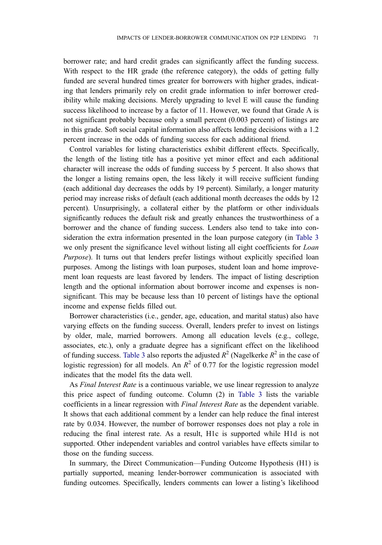borrower rate; and hard credit grades can significantly affect the funding success. With respect to the HR grade (the reference category), the odds of getting fully funded are several hundred times greater for borrowers with higher grades, indicating that lenders primarily rely on credit grade information to infer borrower credibility while making decisions. Merely upgrading to level E will cause the funding success likelihood to increase by a factor of 11. However, we found that Grade A is not significant probably because only a small percent (0.003 percent) of listings are in this grade. Soft social capital information also affects lending decisions with a 1.2 percent increase in the odds of funding success for each additional friend.

Control variables for listing characteristics exhibit different effects. Specifically, the length of the listing title has a positive yet minor effect and each additional character will increase the odds of funding success by 5 percent. It also shows that the longer a listing remains open, the less likely it will receive sufficient funding (each additional day decreases the odds by 19 percent). Similarly, a longer maturity period may increase risks of default (each additional month decreases the odds by 12 percent). Unsurprisingly, a collateral either by the platform or other individuals significantly reduces the default risk and greatly enhances the trustworthiness of a borrower and the chance of funding success. Lenders also tend to take into consideration the extra information presented in the loan purpose category (in [Table 3](#page-18-0) we only present the significance level without listing all eight coefficients for *Loan* Purpose). It turns out that lenders prefer listings without explicitly specified loan purposes. Among the listings with loan purposes, student loan and home improvement loan requests are least favored by lenders. The impact of listing description length and the optional information about borrower income and expenses is nonsignificant. This may be because less than 10 percent of listings have the optional income and expense fields filled out.

Borrower characteristics (i.e., gender, age, education, and marital status) also have varying effects on the funding success. Overall, lenders prefer to invest on listings by older, male, married borrowers. Among all education levels (e.g., college, associates, etc.), only a graduate degree has a significant effect on the likelihood of funding success. [Table 3](#page-18-0) also reports the adjusted  $R^2$  (Nagelkerke  $R^2$  in the case of logistic regression) for all models. An  $R^2$  of 0.77 for the logistic regression model indicates that the model fits the data well.

As Final Interest Rate is a continuous variable, we use linear regression to analyze this price aspect of funding outcome. Column (2) in [Table 3](#page-18-0) lists the variable coefficients in a linear regression with Final Interest Rate as the dependent variable. It shows that each additional comment by a lender can help reduce the final interest rate by 0.034. However, the number of borrower responses does not play a role in reducing the final interest rate. As a result, H1c is supported while H1d is not supported. Other independent variables and control variables have effects similar to those on the funding success.

In summary, the Direct Communication—Funding Outcome Hypothesis (H1) is partially supported, meaning lender-borrower communication is associated with funding outcomes. Specifically, lenders comments can lower a listing's likelihood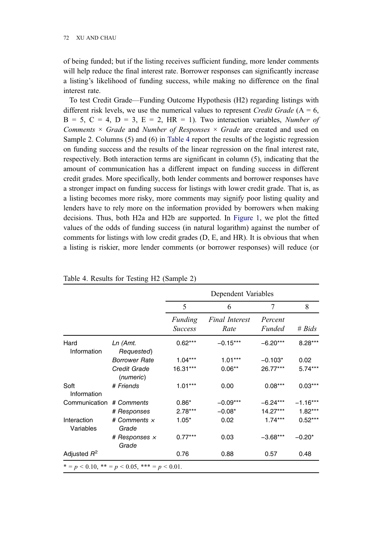<span id="page-20-0"></span>of being funded; but if the listing receives sufficient funding, more lender comments will help reduce the final interest rate. Borrower responses can significantly increase a listing's likelihood of funding success, while making no difference on the final interest rate.

To test Credit Grade—Funding Outcome Hypothesis (H2) regarding listings with different risk levels, we use the numerical values to represent *Credit Grade* ( $A = 6$ ,  $B = 5$ ,  $C = 4$ ,  $D = 3$ ,  $E = 2$ ,  $HR = 1$ ). Two interaction variables, *Number of* Comments  $\times$  Grade and Number of Responses  $\times$  Grade are created and used on Sample 2. Columns (5) and (6) in Table 4 report the results of the logistic regression on funding success and the results of the linear regression on the final interest rate, respectively. Both interaction terms are significant in column (5), indicating that the amount of communication has a different impact on funding success in different credit grades. More specifically, both lender comments and borrower responses have a stronger impact on funding success for listings with lower credit grade. That is, as a listing becomes more risky, more comments may signify poor listing quality and lenders have to rely more on the information provided by borrowers when making decisions. Thus, both H2a and H2b are supported. In [Figure 1,](#page-21-0) we plot the fitted values of the odds of funding success (in natural logarithm) against the number of comments for listings with low credit grades (D, E, and HR). It is obvious that when a listing is riskier, more lender comments (or borrower responses) will reduce (or

|                          |                                                    |                           | Dependent Variables    |                   |            |
|--------------------------|----------------------------------------------------|---------------------------|------------------------|-------------------|------------|
|                          |                                                    | 5                         | 6                      | 7                 | 8          |
|                          |                                                    | Funding<br><b>Success</b> | Final Interest<br>Rate | Percent<br>Funded | # Bids     |
| Hard<br>Information      | Ln (Amt.<br>Requested)                             | $0.62***$                 | $-0.15***$             | $-6.20***$        | 8.28***    |
|                          | <b>Borrower Rate</b>                               | $1.04***$                 | $1.01***$              | $-0.103*$         | 0.02       |
|                          | Credit Grade<br>(numeric)                          | $16.31***$                | $0.06***$              | 26.77***          | $5.74***$  |
| Soft<br>Information      | # Friends                                          | $1.01***$                 | 0.00                   | $0.08***$         | $0.03***$  |
| Communication            | # Comments                                         | $0.86*$                   | $-0.09***$             | $-6.24***$        | $-1.16***$ |
|                          | # Responses                                        | $2.78***$                 | $-0.08*$               | $14.27***$        | $1.82***$  |
| Interaction<br>Variables | # Comments $x$<br>Grade                            | $1.05*$                   | 0.02                   | $1.74***$         | $0.52***$  |
|                          | # Responses x<br>Grade                             | $0.77***$                 | 0.03                   | $-3.68***$        | $-0.20*$   |
| Adjusted $R^2$           |                                                    | 0.76                      | 0.88                   | 0.57              | 0.48       |
|                          | * = $p$ < 0.10, ** = $p$ < 0.05, *** = $p$ < 0.01. |                           |                        |                   |            |

Table 4. Results for Testing H2 (Sample 2)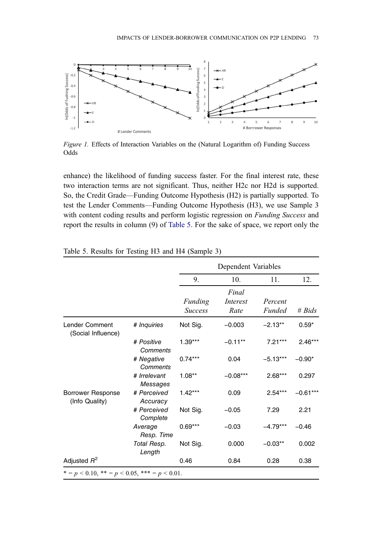<span id="page-21-0"></span>

Figure 1. Effects of Interaction Variables on the (Natural Logarithm of) Funding Success Odds

enhance) the likelihood of funding success faster. For the final interest rate, these two interaction terms are not significant. Thus, neither H2c nor H2d is supported. So, the Credit Grade—Funding Outcome Hypothesis (H2) is partially supported. To test the Lender Comments—Funding Outcome Hypothesis (H3), we use Sample 3 with content coding results and perform logistic regression on Funding Success and report the results in column (9) of Table 5. For the sake of space, we report only the

|                                                       |                          |                | Dependent Variables |               |            |
|-------------------------------------------------------|--------------------------|----------------|---------------------|---------------|------------|
|                                                       |                          | 9.             | 10.                 | 11.           | 12.        |
|                                                       |                          |                | Final               |               |            |
|                                                       |                          | Funding        | Interest            | Percent       |            |
|                                                       |                          | <b>Success</b> | Rate                | <i>Funded</i> | # Bids     |
| <b>Lender Comment</b><br>(Social Influence)           | # Inquiries              | Not Sig.       | $-0.003$            | $-2.13**$     | $0.59*$    |
|                                                       | # Positive<br>Comments   | $1.39***$      | $-0.11**$           | $7.21***$     | $2.46***$  |
|                                                       | # Negative<br>Comments   | $0.74***$      | 0.04                | $-5.13***$    | $-0.90*$   |
|                                                       | # Irrelevant<br>Messages | $1.08**$       | $-0.08***$          | $2.68***$     | 0.297      |
| <b>Borrower Response</b><br>(Info Quality)            | # Perceived<br>Accuracy  | $1.42***$      | 0.09                | $2.54***$     | $-0.61***$ |
|                                                       | # Perceived<br>Complete  | Not Sig.       | $-0.05$             | 7.29          | 2.21       |
|                                                       | Average<br>Resp. Time    | $0.69***$      | $-0.03$             | $-4.79***$    | $-0.46$    |
|                                                       | Total Resp.<br>Length    | Not Sig.       | 0.000               | $-0.03**$     | 0.002      |
| Adjusted $R^2$                                        |                          | 0.46           | 0.84                | 0.28          | 0.38       |
| $* = p < 0.10$ , $** = p < 0.05$ , $*** = p < 0.01$ . |                          |                |                     |               |            |

| Table 5. Results for Testing H3 and H4 (Sample 3) |  |  |  |  |  |  |  |  |
|---------------------------------------------------|--|--|--|--|--|--|--|--|
|---------------------------------------------------|--|--|--|--|--|--|--|--|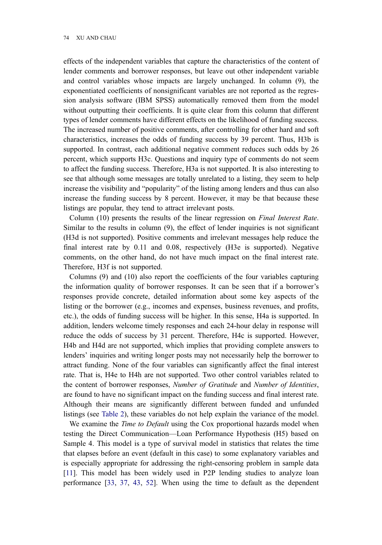<span id="page-22-0"></span>effects of the independent variables that capture the characteristics of the content of lender comments and borrower responses, but leave out other independent variable and control variables whose impacts are largely unchanged. In column (9), the exponentiated coefficients of nonsignificant variables are not reported as the regression analysis software (IBM SPSS) automatically removed them from the model without outputting their coefficients. It is quite clear from this column that different types of lender comments have different effects on the likelihood of funding success. The increased number of positive comments, after controlling for other hard and soft characteristics, increases the odds of funding success by 39 percent. Thus, H3b is supported. In contrast, each additional negative comment reduces such odds by 26 percent, which supports H3c. Questions and inquiry type of comments do not seem to affect the funding success. Therefore, H3a is not supported. It is also interesting to see that although some messages are totally unrelated to a listing, they seem to help increase the visibility and "popularity" of the listing among lenders and thus can also increase the funding success by 8 percent. However, it may be that because these listings are popular, they tend to attract irrelevant posts.

Column (10) presents the results of the linear regression on Final Interest Rate. Similar to the results in column (9), the effect of lender inquiries is not significant (H3d is not supported). Positive comments and irrelevant messages help reduce the final interest rate by 0.11 and 0.08, respectively (H3e is supported). Negative comments, on the other hand, do not have much impact on the final interest rate. Therefore, H3f is not supported.

Columns (9) and (10) also report the coefficients of the four variables capturing the information quality of borrower responses. It can be seen that if a borrower's responses provide concrete, detailed information about some key aspects of the listing or the borrower (e.g., incomes and expenses, business revenues, and profits, etc.), the odds of funding success will be higher. In this sense, H4a is supported. In addition, lenders welcome timely responses and each 24-hour delay in response will reduce the odds of success by 31 percent. Therefore, H4c is supported. However, H4b and H4d are not supported, which implies that providing complete answers to lenders' inquiries and writing longer posts may not necessarily help the borrower to attract funding. None of the four variables can significantly affect the final interest rate. That is, H4e to H4h are not supported. Two other control variables related to the content of borrower responses, Number of Gratitude and Number of Identities, are found to have no significant impact on the funding success and final interest rate. Although their means are significantly different between funded and unfunded listings (see [Table 2\)](#page-15-0), these variables do not help explain the variance of the model.

We examine the *Time to Default* using the Cox proportional hazards model when testing the Direct Communication—Loan Performance Hypothesis (H5) based on Sample 4. This model is a type of survival model in statistics that relates the time that elapses before an event (default in this case) to some explanatory variables and is especially appropriate for addressing the right-censoring problem in sample data [[11\]](#page-29-0). This model has been widely used in P2P lending studies to analyze loan performance [\[33](#page-30-0), [37](#page-30-0), [43](#page-31-0), [52\]](#page-31-0). When using the time to default as the dependent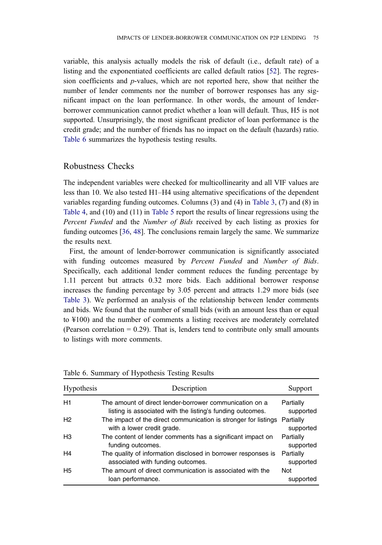variable, this analysis actually models the risk of default (i.e., default rate) of a listing and the exponentiated coefficients are called default ratios [\[52](#page-31-0)]. The regression coefficients and p-values, which are not reported here, show that neither the number of lender comments nor the number of borrower responses has any significant impact on the loan performance. In other words, the amount of lenderborrower communication cannot predict whether a loan will default. Thus, H5 is not supported. Unsurprisingly, the most significant predictor of loan performance is the credit grade; and the number of friends has no impact on the default (hazards) ratio. Table 6 summarizes the hypothesis testing results.

### Robustness Checks

The independent variables were checked for multicollinearity and all VIF values are less than 10. We also tested H1–H4 using alternative specifications of the dependent variables regarding funding outcomes. Columns (3) and (4) in [Table 3,](#page-18-0) (7) and (8) in [Table 4](#page-20-0), and (10) and (11) in [Table 5](#page-21-0) report the results of linear regressions using the Percent Funded and the Number of Bids received by each listing as proxies for funding outcomes [[36,](#page-30-0) [48](#page-31-0)]. The conclusions remain largely the same. We summarize the results next.

First, the amount of lender-borrower communication is significantly associated with funding outcomes measured by Percent Funded and Number of Bids. Specifically, each additional lender comment reduces the funding percentage by 1.11 percent but attracts 0.32 more bids. Each additional borrower response increases the funding percentage by 3.05 percent and attracts 1.29 more bids (see [Table 3\)](#page-18-0). We performed an analysis of the relationship between lender comments and bids. We found that the number of small bids (with an amount less than or equal to ¥100) and the number of comments a listing receives are moderately correlated (Pearson correlation  $= 0.29$ ). That is, lenders tend to contribute only small amounts to listings with more comments.

| <b>Hypothesis</b> | Description                                                                                                           | Support                |
|-------------------|-----------------------------------------------------------------------------------------------------------------------|------------------------|
| H1                | The amount of direct lender-borrower communication on a<br>listing is associated with the listing's funding outcomes. | Partially<br>supported |
| H <sub>2</sub>    | The impact of the direct communication is stronger for listings<br>with a lower credit grade.                         | Partially<br>supported |
| H <sub>3</sub>    | The content of lender comments has a significant impact on<br>funding outcomes.                                       | Partially<br>supported |
| H <sub>4</sub>    | The quality of information disclosed in borrower responses is<br>associated with funding outcomes.                    | Partially<br>supported |
| H <sub>5</sub>    | The amount of direct communication is associated with the<br>loan performance.                                        | Not<br>supported       |

Table 6. Summary of Hypothesis Testing Results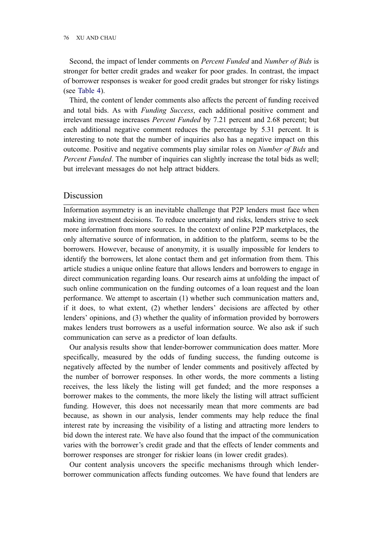Second, the impact of lender comments on Percent Funded and Number of Bids is stronger for better credit grades and weaker for poor grades. In contrast, the impact of borrower responses is weaker for good credit grades but stronger for risky listings (see [Table 4\)](#page-20-0).

Third, the content of lender comments also affects the percent of funding received and total bids. As with Funding Success, each additional positive comment and irrelevant message increases Percent Funded by 7.21 percent and 2.68 percent; but each additional negative comment reduces the percentage by 5.31 percent. It is interesting to note that the number of inquiries also has a negative impact on this outcome. Positive and negative comments play similar roles on Number of Bids and Percent Funded. The number of inquiries can slightly increase the total bids as well; but irrelevant messages do not help attract bidders.

# Discussion

Information asymmetry is an inevitable challenge that P2P lenders must face when making investment decisions. To reduce uncertainty and risks, lenders strive to seek more information from more sources. In the context of online P2P marketplaces, the only alternative source of information, in addition to the platform, seems to be the borrowers. However, because of anonymity, it is usually impossible for lenders to identify the borrowers, let alone contact them and get information from them. This article studies a unique online feature that allows lenders and borrowers to engage in direct communication regarding loans. Our research aims at unfolding the impact of such online communication on the funding outcomes of a loan request and the loan performance. We attempt to ascertain (1) whether such communication matters and, if it does, to what extent, (2) whether lenders' decisions are affected by other lenders' opinions, and (3) whether the quality of information provided by borrowers makes lenders trust borrowers as a useful information source. We also ask if such communication can serve as a predictor of loan defaults.

Our analysis results show that lender-borrower communication does matter. More specifically, measured by the odds of funding success, the funding outcome is negatively affected by the number of lender comments and positively affected by the number of borrower responses. In other words, the more comments a listing receives, the less likely the listing will get funded; and the more responses a borrower makes to the comments, the more likely the listing will attract sufficient funding. However, this does not necessarily mean that more comments are bad because, as shown in our analysis, lender comments may help reduce the final interest rate by increasing the visibility of a listing and attracting more lenders to bid down the interest rate. We have also found that the impact of the communication varies with the borrower's credit grade and that the effects of lender comments and borrower responses are stronger for riskier loans (in lower credit grades).

Our content analysis uncovers the specific mechanisms through which lenderborrower communication affects funding outcomes. We have found that lenders are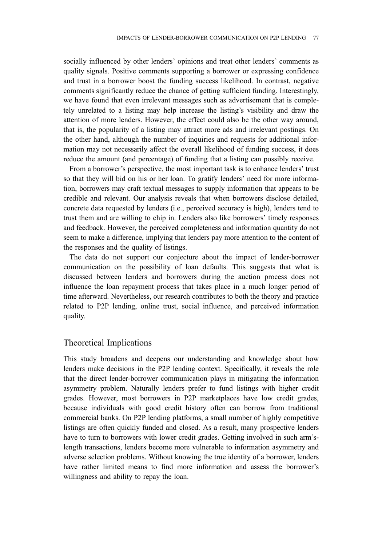socially influenced by other lenders' opinions and treat other lenders' comments as quality signals. Positive comments supporting a borrower or expressing confidence and trust in a borrower boost the funding success likelihood. In contrast, negative comments significantly reduce the chance of getting sufficient funding. Interestingly, we have found that even irrelevant messages such as advertisement that is completely unrelated to a listing may help increase the listing's visibility and draw the attention of more lenders. However, the effect could also be the other way around, that is, the popularity of a listing may attract more ads and irrelevant postings. On the other hand, although the number of inquiries and requests for additional information may not necessarily affect the overall likelihood of funding success, it does reduce the amount (and percentage) of funding that a listing can possibly receive.

From a borrower's perspective, the most important task is to enhance lenders' trust so that they will bid on his or her loan. To gratify lenders' need for more information, borrowers may craft textual messages to supply information that appears to be credible and relevant. Our analysis reveals that when borrowers disclose detailed, concrete data requested by lenders (i.e., perceived accuracy is high), lenders tend to trust them and are willing to chip in. Lenders also like borrowers' timely responses and feedback. However, the perceived completeness and information quantity do not seem to make a difference, implying that lenders pay more attention to the content of the responses and the quality of listings.

The data do not support our conjecture about the impact of lender-borrower communication on the possibility of loan defaults. This suggests that what is discussed between lenders and borrowers during the auction process does not influence the loan repayment process that takes place in a much longer period of time afterward. Nevertheless, our research contributes to both the theory and practice related to P2P lending, online trust, social influence, and perceived information quality.

### Theoretical Implications

This study broadens and deepens our understanding and knowledge about how lenders make decisions in the P2P lending context. Specifically, it reveals the role that the direct lender-borrower communication plays in mitigating the information asymmetry problem. Naturally lenders prefer to fund listings with higher credit grades. However, most borrowers in P2P marketplaces have low credit grades, because individuals with good credit history often can borrow from traditional commercial banks. On P2P lending platforms, a small number of highly competitive listings are often quickly funded and closed. As a result, many prospective lenders have to turn to borrowers with lower credit grades. Getting involved in such arm'slength transactions, lenders become more vulnerable to information asymmetry and adverse selection problems. Without knowing the true identity of a borrower, lenders have rather limited means to find more information and assess the borrower's willingness and ability to repay the loan.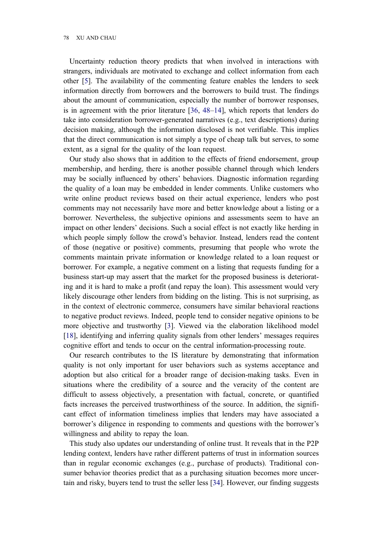<span id="page-26-0"></span>Uncertainty reduction theory predicts that when involved in interactions with strangers, individuals are motivated to exchange and collect information from each other [\[5](#page-29-0)]. The availability of the commenting feature enables the lenders to seek information directly from borrowers and the borrowers to build trust. The findings about the amount of communication, especially the number of borrower responses, is in agreement with the prior literature [\[36](#page-30-0), [48](#page-31-0)–[14](#page-29-0)], which reports that lenders do take into consideration borrower-generated narratives (e.g., text descriptions) during decision making, although the information disclosed is not verifiable. This implies that the direct communication is not simply a type of cheap talk but serves, to some extent, as a signal for the quality of the loan request.

Our study also shows that in addition to the effects of friend endorsement, group membership, and herding, there is another possible channel through which lenders may be socially influenced by others' behaviors. Diagnostic information regarding the quality of a loan may be embedded in lender comments. Unlike customers who write online product reviews based on their actual experience, lenders who post comments may not necessarily have more and better knowledge about a listing or a borrower. Nevertheless, the subjective opinions and assessments seem to have an impact on other lenders' decisions. Such a social effect is not exactly like herding in which people simply follow the crowd's behavior. Instead, lenders read the content of those (negative or positive) comments, presuming that people who wrote the comments maintain private information or knowledge related to a loan request or borrower. For example, a negative comment on a listing that requests funding for a business start-up may assert that the market for the proposed business is deteriorating and it is hard to make a profit (and repay the loan). This assessment would very likely discourage other lenders from bidding on the listing. This is not surprising, as in the context of electronic commerce, consumers have similar behavioral reactions to negative product reviews. Indeed, people tend to consider negative opinions to be more objective and trustworthy [\[3](#page-29-0)]. Viewed via the elaboration likelihood model [[18\]](#page-30-0), identifying and inferring quality signals from other lenders' messages requires cognitive effort and tends to occur on the central information-processing route.

Our research contributes to the IS literature by demonstrating that information quality is not only important for user behaviors such as systems acceptance and adoption but also critical for a broader range of decision-making tasks. Even in situations where the credibility of a source and the veracity of the content are difficult to assess objectively, a presentation with factual, concrete, or quantified facts increases the perceived trustworthiness of the source. In addition, the significant effect of information timeliness implies that lenders may have associated a borrower's diligence in responding to comments and questions with the borrower's willingness and ability to repay the loan.

This study also updates our understanding of online trust. It reveals that in the P2P lending context, lenders have rather different patterns of trust in information sources than in regular economic exchanges (e.g., purchase of products). Traditional consumer behavior theories predict that as a purchasing situation becomes more uncertain and risky, buyers tend to trust the seller less [[34\]](#page-30-0). However, our finding suggests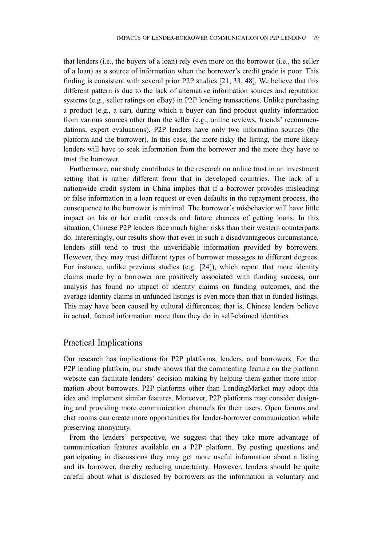that lenders (i.e., the buyers of a loan) rely even more on the borrower (i.e., the seller of a loan) as a source of information when the borrower's credit grade is poor. This finding is consistent with several prior P2P studies [\[21](#page-30-0), [33,](#page-30-0) [48](#page-31-0)]. We believe that this different pattern is due to the lack of alternative information sources and reputation systems (e.g., seller ratings on eBay) in P2P lending transactions. Unlike purchasing a product (e.g., a car), during which a buyer can find product quality information from various sources other than the seller (e.g., online reviews, friends' recommendations, expert evaluations), P2P lenders have only two information sources (the platform and the borrower). In this case, the more risky the listing, the more likely lenders will have to seek information from the borrower and the more they have to trust the borrower.

Furthermore, our study contributes to the research on online trust in an investment setting that is rather different from that in developed countries. The lack of a nationwide credit system in China implies that if a borrower provides misleading or false information in a loan request or even defaults in the repayment process, the consequence to the borrower is minimal. The borrower's misbehavior will have little impact on his or her credit records and future chances of getting loans. In this situation, Chinese P2P lenders face much higher risks than their western counterparts do. Interestingly, our results show that even in such a disadvantageous circumstance, lenders still tend to trust the unverifiable information provided by borrowers. However, they may trust different types of borrower messages to different degrees. For instance, unlike previous studies (e.g. [\[24](#page-30-0)]), which report that more identity claims made by a borrower are positively associated with funding success, our analysis has found no impact of identity claims on funding outcomes, and the average identity claims in unfunded listings is even more than that in funded listings. This may have been caused by cultural differences; that is, Chinese lenders believe in actual, factual information more than they do in self-claimed identities.

### Practical Implications

Our research has implications for P2P platforms, lenders, and borrowers. For the P2P lending platform, our study shows that the commenting feature on the platform website can facilitate lenders' decision making by helping them gather more information about borrowers. P2P platforms other than LendingMarket may adopt this idea and implement similar features. Moreover, P2P platforms may consider designing and providing more communication channels for their users. Open forums and chat rooms can create more opportunities for lender-borrower communication while preserving anonymity.

From the lenders' perspective, we suggest that they take more advantage of communication features available on a P2P platform. By posting questions and participating in discussions they may get more useful information about a listing and its borrower, thereby reducing uncertainty. However, lenders should be quite careful about what is disclosed by borrowers as the information is voluntary and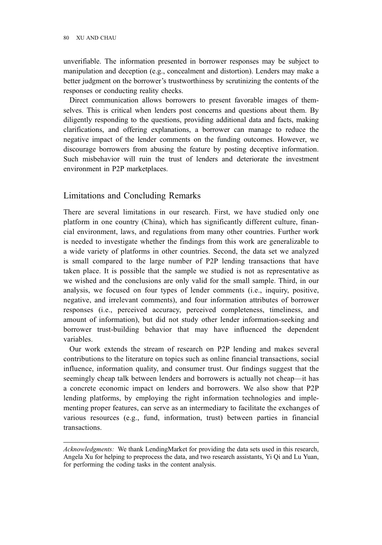unverifiable. The information presented in borrower responses may be subject to manipulation and deception (e.g., concealment and distortion). Lenders may make a better judgment on the borrower's trustworthiness by scrutinizing the contents of the responses or conducting reality checks.

Direct communication allows borrowers to present favorable images of themselves. This is critical when lenders post concerns and questions about them. By diligently responding to the questions, providing additional data and facts, making clarifications, and offering explanations, a borrower can manage to reduce the negative impact of the lender comments on the funding outcomes. However, we discourage borrowers from abusing the feature by posting deceptive information. Such misbehavior will ruin the trust of lenders and deteriorate the investment environment in P2P marketplaces.

# Limitations and Concluding Remarks

There are several limitations in our research. First, we have studied only one platform in one country (China), which has significantly different culture, financial environment, laws, and regulations from many other countries. Further work is needed to investigate whether the findings from this work are generalizable to a wide variety of platforms in other countries. Second, the data set we analyzed is small compared to the large number of P2P lending transactions that have taken place. It is possible that the sample we studied is not as representative as we wished and the conclusions are only valid for the small sample. Third, in our analysis, we focused on four types of lender comments (i.e., inquiry, positive, negative, and irrelevant comments), and four information attributes of borrower responses (i.e., perceived accuracy, perceived completeness, timeliness, and amount of information), but did not study other lender information-seeking and borrower trust-building behavior that may have influenced the dependent variables.

Our work extends the stream of research on P2P lending and makes several contributions to the literature on topics such as online financial transactions, social influence, information quality, and consumer trust. Our findings suggest that the seemingly cheap talk between lenders and borrowers is actually not cheap—it has a concrete economic impact on lenders and borrowers. We also show that P2P lending platforms, by employing the right information technologies and implementing proper features, can serve as an intermediary to facilitate the exchanges of various resources (e.g., fund, information, trust) between parties in financial transactions.

Acknowledgments: We thank LendingMarket for providing the data sets used in this research, Angela Xu for helping to preprocess the data, and two research assistants, Yi Qi and Lu Yuan, for performing the coding tasks in the content analysis.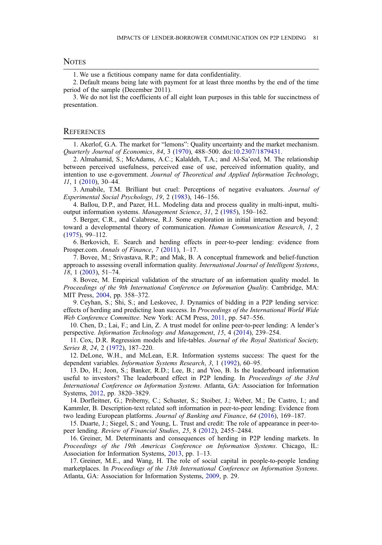### <span id="page-29-0"></span>**NOTES**

1. We use a fictitious company name for data confidentiality.

2. Default means being late with payment for at least three months by the end of the time period of the sample (December 2011).

3. We do not list the coefficients of all eight loan purposes in this table for succinctness of presentation.

### **REFERENCES**

1. Akerlof, G.A. The market for "lemons": Quality uncertainty and the market mechanism. Quarterly Journal of Economics, 84,3([1970\)](#page-2-0), 488–500. doi[:10.2307/1879431](http://dx.doi.org/10.2307/1879431).

2. Almahamid, S.; McAdams, A.C.; Kalaldeh, T.A.; and Al-Sa'eed, M. The relationship between perceived usefulness, perceived ease of use, perceived information quality, and intention to use e-government. Journal of Theoretical and Applied Information Technology, 11,1([2010](#page-11-0)), 30–44.

3. Amabile, T.M. Brilliant but cruel: Perceptions of negative evaluators. Journal of Experimental Social Psychology, 19,2([1983\)](#page-26-0), 146–156.

4. Ballou, D.P., and Pazer, H.L. Modeling data and process quality in multi-input, multi-output information systems. Management Science, 31, 2 ([1985\)](#page-10-0), 150–162.

5. Berger, C.R., and Calabrese, R.J. Some exploration in initial interaction and beyond: toward a developmental theory of communication. Human Communication Research, 1, 2 ([1975](#page-26-0)), 99–112.

6. Berkovich, E. Search and herding effects in peer-to-peer lending: evidence from Prosper.com. Annals of Finance, 7 [\(2011\)](#page-8-0), 1–17.

7. Bovee, M.; Srivastava, R.P.; and Mak, B. A conceptual framework and belief-function approach to assessing overall information quality. International Journal of Intelligent Systems, 18,1[\(2003](#page-10-0)), 51–74.

8. Bovee, M. Empirical validation of the structure of an information quality model. In Proceedings of the 9th International Conference on Information Quality. Cambridge, MA: MIT Press, [2004,](#page-10-0) pp. 358–372.

9. Ceyhan, S.; Shi, S.; and Leskovec, J. Dynamics of bidding in a P2P lending service: effects of herding and predicting loan success. In Proceedings of the International World Wide Web Conference Committee. New York: ACM Press, [2011,](#page-8-0) pp. 547–556.

10. Chen, D.; Lai, F.; and Lin, Z. A trust model for online peer-to-peer lending: A lender's perspective. Information Technology and Management, 15, 4 [\(2014\)](#page-4-0), 239–254.

11. Cox, D.R. Regression models and life-tables. Journal of the Royal Statistical Society, Series B, 24, 2 [\(1972](#page-22-0)), 187-220.

12. DeLone, W.H., and McLean, E.R. Information systems success: The quest for the dependent variables. Information Systems Research, 3,1([1992\)](#page-10-0), 60–95.

13. Do, H.; Jeon, S.; Banker, R.D.; Lee, B.; and Yoo, B. Is the leaderboard information useful to investors? The leaderboard effect in P2P lending. In Proceedings of the 33rd International Conference on Information Systems. Atlanta, GA: Association for Information Systems, [2012](#page-6-0), pp. 3820–3829.

14. Dorfleitner, G.; Priberny, C.; Schuster, S.; Stoiber, J.; Weber, M.; De Castro, I.; and Kammler, B. Description-text related soft information in peer-to-peer lending: Evidence from two leading European platforms. Journal of Banking and Finance, 64 [\(2016\)](#page-6-0), 169–187.

15. Duarte, J.; Siegel, S.; and Young, L. Trust and credit: The role of appearance in peer-to-peer lending. Review of Financial Studies, 25, 8 [\(2012](#page-2-0)), 2455-2484.

16. Greiner, M. Determinants and consequences of herding in P2P lending markets. In Proceedings of the 19th Americas Conference on Information Systems. Chicago, IL: Association for Information Systems, [2013,](#page-2-0) pp. 1–13.

17. Greiner, M.E., and Wang, H. The role of social capital in people-to-people lending marketplaces. In Proceedings of the 13th International Conference on Information Systems. Atlanta, GA: Association for Information Systems, [2009](#page-2-0), p. 29.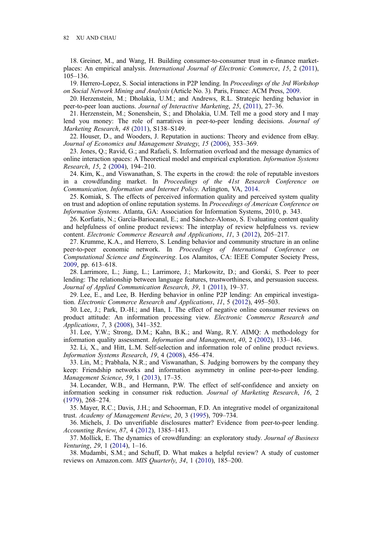<span id="page-30-0"></span>18. Greiner, M., and Wang, H. Building consumer-to-consumer trust in e-finance marketplaces: An empirical analysis. International Journal of Electronic Commerce, 15,2([2011\)](#page-2-0), 105–136.

19. Herrero-Lopez, S. Social interactions in P2P lending. In Proceedings of the 3rd Workshop on Social Network Mining and Analysis (Article No. 3). Paris, France: ACM Press, [2009](#page-8-0).

20. Herzenstein, M.; Dholakia, U.M.; and Andrews, R.L. Strategic herding behavior in peer-to-peer loan auctions. Journal of Interactive Marketing, 25, ([2011](#page-5-0)), 27–36.

21. Herzenstein, M.; Sonenshein, S.; and Dholakia, U.M. Tell me a good story and I may lend you money: The role of narratives in peer-to-peer lending decisions. Journal of Marketing Research, 48 [\(2011](#page-6-0)), S138–S149.

22. Houser, D., and Wooders, J. Reputation in auctions: Theory and evidence from eBay. Journal of Economics and Management Strategy, 15 [\(2006](#page-8-0)), 353–369.

23. Jones, Q.; Ravid, G.; and Rafaeli, S. Information overload and the message dynamics of online interaction spaces: A Theoretical model and empirical exploration. Information Systems Research, 15,2[\(2004](#page-11-0)), 194–210.

24. Kim, K., and Viswanathan, S. The experts in the crowd: the role of reputable investors in a crowdfunding market. In Proceedings of the 41st Research Conference on Communication, Information and Internet Policy. Arlington, VA, [2014.](#page-17-0)

25. Komiak, S. The effects of perceived information quality and perceived system quality on trust and adoption of online reputation systems. In Proceedings of American Conference on Information Systems. Atlanta, GA: Association for Information Systems, 2010, p. 343.

26. Korfiatis, N.; García-Bariocanal, E.; and Sánchez-Alonso, S. Evaluating content quality and helpfulness of online product reviews: The interplay of review helpfulness vs. review content. Electronic Commerce Research and Applications, 11, 3 ([2012\)](#page-9-0), 205–217.

27. Krumme, K.A., and Herrero, S. Lending behavior and community structure in an online peer-to-peer economic network. In Proceedings of International Conference on Computational Science and Engineering. Los Alamitos, CA: IEEE Computer Society Press, [2009,](#page-8-0) pp. 613–618.

28. Larrimore, L.; Jiang, L.; Larrimore, J.; Markowitz, D.; and Gorski, S. Peer to peer lending: The relationship between language features, trustworthiness, and persuasion success. Journal of Applied Communication Research, 39,1[\(2011\)](#page-2-0), 19–37.

29. Lee, E., and Lee, B. Herding behavior in online P2P lending: An empirical investiga-tion. Electronic Commerce Research and Applications, 11, 5 ([2012\)](#page-2-0), 495-503.

30. Lee, J.; Park, D.-H.; and Han, I. The effect of negative online consumer reviews on product attitude: An information processing view. Electronic Commerce Research and Applications, 7, 3 ([2008\)](#page-9-0), 341–352.

31. Lee, Y.W.; Strong, D.M.; Kahn, B.K.; and Wang, R.Y. AIMQ: A methodology for information quality assessment. *Information and Management*, 40, 2 ([2002\)](#page-10-0), 133–146.

32. Li, X., and Hitt, L.M. Self-selection and information role of online product reviews. Information Systems Research, 19, 4 ([2008\)](#page-9-0), 456-474.

33. Lin, M.; Prabhala, N.R.; and Viswanathan, S. Judging borrowers by the company they keep: Friendship networks and information asymmetry in online peer-to-peer lending. Management Science, 59,1([2013\)](#page-2-0), 17–35.

34. Locander, W.B., and Hermann, P.W. The effect of self-confidence and anxiety on information seeking in consumer risk reduction. Journal of Marketing Research, 16, 2 ([1979](#page-26-0)), 268–274.

35. Mayer, R.C.; Davis, J.H.; and Schoorman, F.D. An integrative model of organizaitonal trust. Academy of Management Review, 20,3[\(1995](#page-13-0)), 709–734.

36. Michels, J. Do unverifiable disclosures matter? Evidence from peer-to-peer lending. Accounting Review, 87,4([2012\)](#page-2-0), 1385–1413.

37. Mollick, E. The dynamics of crowdfunding: an exploratory study. Journal of Business Venturing, 29,1[\(2014\)](#page-5-0), 1–16.

38. Mudambi, S.M.; and Schuff, D. What makes a helpful review? A study of customer reviews on Amazon.com. MIS Quarterly, 34, 1 ([2010\)](#page-9-0), 185–200.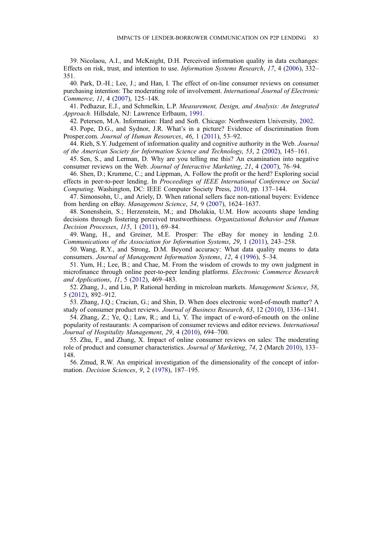<span id="page-31-0"></span>39. Nicolaou, A.I., and McKnight, D.H. Perceived information quality in data exchanges: Effects on risk, trust, and intention to use. *Information Systems Research*, 17, 4 ([2006\)](#page-11-0), 332– 351.

40. Park, D.-H.; Lee, J.; and Han, I. The effect of on-line consumer reviews on consumer purchasing intention: The moderating role of involvement. International Journal of Electronic Commerce, 11, 4 [\(2007\)](#page-9-0), 125-148.

41. Pedhazur, E.J., and Schmelkin, L.P. Measurement, Design, and Analysis: An Integrated Approach. Hillsdale, NJ: Lawrence Erlbaum, [1991.](#page-16-0)

42. Petersen, M.A. Information: Hard and Soft. Chicago: Northwestern University, [2002](#page-5-0).

43. Pope, D.G., and Sydnor, J.R. What's in a picture? Evidence of discrimination from Prosper.com. Journal of Human Resources, 46, 1 ([2011](#page-2-0)), 53–92.

44. Rieh, S.Y. Judgement of information quality and cognitive authority in the Web. Journal of the American Society for Information Science and Technology, 53,2([2002\)](#page-11-0), 145–161.

45. Sen, S., and Lerman, D. Why are you telling me this? An examination into negative consumer reviews on the Web. Journal of Interactive Marketing, 21, 4 [\(2007](#page-9-0)), 76–94.

46. Shen, D.; Krumme, C.; and Lippman, A. Follow the profit or the herd? Exploring social effects in peer-to-peer lending. In Proceedings of IEEE International Conference on Social Computing. Washington, DC: IEEE Computer Society Press, [2010,](#page-8-0) pp. 137–144.

47. Simonsohn, U., and Ariely, D. When rational sellers face non-rational buyers: Evidence from herding on eBay. Management Science, 54,9[\(2007\)](#page-8-0), 1624–1637.

48. Sonenshein, S.; Herzenstein, M.; and Dholakia, U.M. How accounts shape lending decisions through fostering perceived trustworthiness. Organizational Behavior and Human Decision Processes, 115,1([2011\)](#page-6-0), 69–84.

49. Wang, H., and Greiner, M.E. Prosper: The eBay for money in lending 2.0. Communications of the Association for Information Systems, 29,1([2011](#page-2-0)), 243–258.

50. Wang, R.Y., and Strong, D.M. Beyond accuracy: What data quality means to data consumers. Journal of Management Information Systems, 12,4[\(1996](#page-10-0)), 5–34.

51. Yum, H.; Lee, B.; and Chae, M. From the wisdom of crowds to my own judgment in microfinance through online peer-to-peer lending platforms. Electronic Commerce Research and Applications, 11, 5 [\(2012\)](#page-2-0), 469-483.

52. Zhang, J., and Liu, P. Rational herding in microloan markets. Management Science, 58, 5 ([2012\)](#page-5-0), 892–912.

53. Zhang, J.Q.; Craciun, G.; and Shin, D. When does electronic word-of-mouth matter? A study of consumer product reviews. Journal of Business Research, 63, 12 ([2010](#page-9-0)), 1336-1341.

54. Zhang, Z.; Ye, Q.; Law, R.; and Li, Y. The impact of e-word-of-mouth on the online popularity of restaurants: A comparison of consumer reviews and editor reviews. International Journal of Hospitality Management, 29, 4 ([2010\)](#page-9-0), 694–700.

55. Zhu, F., and Zhang, X. Impact of online consumer reviews on sales: The moderating role of product and consumer characteristics. Journal of Marketing, 74, 2 (March [2010](#page-9-0)), 133– 148.

56. Zmud, R.W. An empirical investigation of the dimensionality of the concept of information. *Decision Sciences*, 9, 2 ([1978\)](#page-10-0), 187-195.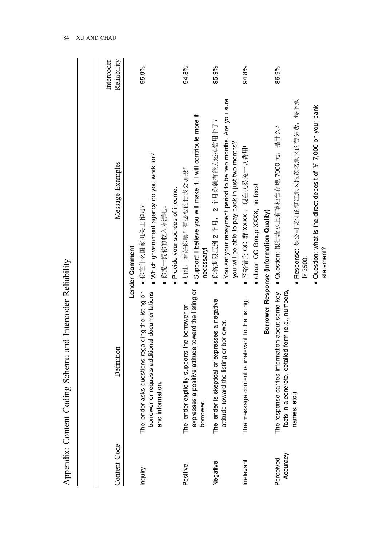| Content Code          | Definition                                                                                                               | Message Examples                                                                                                                                   | Reliability<br>Intercoder |
|-----------------------|--------------------------------------------------------------------------------------------------------------------------|----------------------------------------------------------------------------------------------------------------------------------------------------|---------------------------|
|                       |                                                                                                                          | Lender Comment                                                                                                                                     |                           |
| Inquiry               | The lender asks questions regarding the listing or<br>borrower or requests additional documentations<br>and information. | . Which government agency do you work for?<br>● 你在什么国家机关工作呢?<br>• 你提一提你的收入来源吧。                                                                     | 95.9%                     |
|                       |                                                                                                                          | · Provide your sources of income.                                                                                                                  |                           |
| Positive              | expresses a positive attitude toward the listing or<br>The lender explicitly supports the borrower or<br>borrower.       | · Support! I believe you will make it. I will contribute more if<br>●加油,看好你噢!有必要的话我会加投!<br>necessary!                                              | 94.8%                     |
| Negative              | skeptical or expresses a negative<br>attitude toward the listing or borrower.<br>The lender is                           | . You set your repayment period to be two months. Are you sure<br>● 你将期限压到2个月, 2个月你就有能力还掉信用卡了?<br>you will be able to pay back in just two months? | 95.9%                     |
| Irrelevant            | content is irrelevant to the listing.<br>The message                                                                     | ● 网络借贷 QQ 群 XXXX, 现在交易免一切费用!<br>· eLoan QQ Group XXXX, no fees!                                                                                    | 94.8%                     |
|                       |                                                                                                                          | Borrower Response (Information Quality)                                                                                                            |                           |
| Accuracy<br>Perceived | facts in a concrete, detailed form (e.g., numbers,<br>The response                                                       | carries information about some key ● Question: 银行流水上有笔柜台存现 7000 元, 是什么?                                                                            | 86.9%                     |
|                       | names, etc.                                                                                                              | ● Response: 是公司支付的港江地区跟茂名地区的劳务费, 每个地<br>$\boxtimes$ 3500.                                                                                          |                           |
|                       |                                                                                                                          | • Question: what is the direct deposit of $\leq 7,000$ on your bank<br>statement?                                                                  |                           |

Appendix: Content Coding Schema and Intercoder Reliability Appendix: Content Coding Schema and Intercoder Reliability